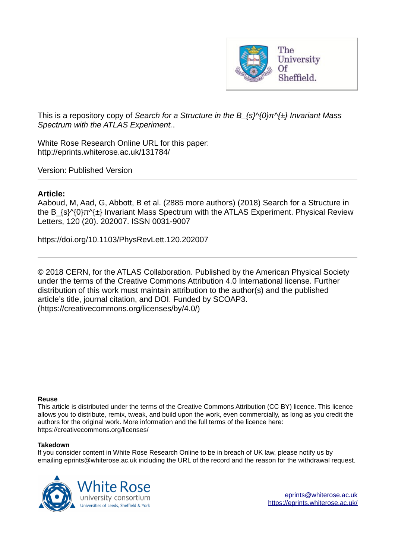

This is a repository copy of *Search for a Structure in the B\_{s}^{0}π^{±} Invariant Mass Spectrum with the ATLAS Experiment.*.

White Rose Research Online URL for this paper: http://eprints.whiterose.ac.uk/131784/

Version: Published Version

## **Article:**

Aaboud, M, Aad, G, Abbott, B et al. (2885 more authors) (2018) Search for a Structure in the B  $\{s\}^{0}$ (0} $\pi^{0}$ ±} Invariant Mass Spectrum with the ATLAS Experiment. Physical Review Letters, 120 (20). 202007. ISSN 0031-9007

https://doi.org/10.1103/PhysRevLett.120.202007

© 2018 CERN, for the ATLAS Collaboration. Published by the American Physical Society under the terms of the Creative Commons Attribution 4.0 International license. Further distribution of this work must maintain attribution to the author(s) and the published article's title, journal citation, and DOI. Funded by SCOAP3. (https://creativecommons.org/licenses/by/4.0/)

### **Reuse**

This article is distributed under the terms of the Creative Commons Attribution (CC BY) licence. This licence allows you to distribute, remix, tweak, and build upon the work, even commercially, as long as you credit the authors for the original work. More information and the full terms of the licence here: https://creativecommons.org/licenses/

### **Takedown**

If you consider content in White Rose Research Online to be in breach of UK law, please notify us by emailing eprints@whiterose.ac.uk including the URL of the record and the reason for the withdrawal request.

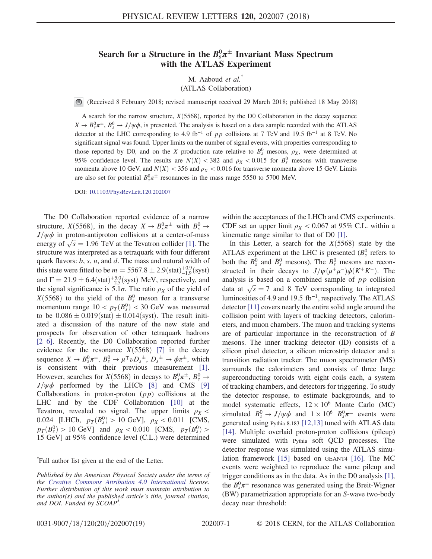# Search for a Structure in the  $B_s^0\pi^{\pm}$  Invariant Mass Spectrum with the ATLAS Experiment

M. Aaboud et al.<sup>\*</sup>

(ATLAS Collaboration)

(Received 8 February 2018; revised manuscript received 29 March 2018; published 18 May 2018)

A search for the narrow structure,  $X(5568)$ , reported by the D0 Collaboration in the decay sequence  $X \to B_s^0 \pi^{\pm}$ ,  $B_s^0 \to J/\psi \phi$ , is presented. The analysis is based on a data sample recorded with the ATLAS detector at the LHC corresponding to 4.9 fb<sup>-1</sup> of pp collisions at 7 TeV and 19.5 fb<sup>-1</sup> at 8 TeV. No significant signal was found. Upper limits on the number of signal events, with properties corresponding to those reported by D0, and on the X production rate relative to  $B_s^0$  mesons,  $\rho_X$ , were determined at 95% confidence level. The results are  $N(X) < 382$  and  $\rho_X < 0.015$  for  $B_s^0$  mesons with transverse momenta above 10 GeV, and  $N(X) < 356$  and  $\rho_X < 0.016$  for transverse momenta above 15 GeV. Limits are also set for potential  $B_s^0 \pi^{\pm}$  resonances in the mass range 5550 to 5700 MeV.

DOI: 10.1103/PhysRevLett.120.202007

The D0 Collaboration reported evidence of a narrow structure,  $X(5568)$ , in the decay  $X \to B_s^0 \pi^{\pm}$  with  $B_s^0 \to$  $J/\psi\phi$  in proton-antiproton collisions at a center-of-mass energy of  $\sqrt{s} = 1.96$  TeV at the Tevatron collider [1]. The structure was interpreted as a tetraquark with four different quark flavors:  $b, s, u$ , and  $d$ . The mass and natural width of this state were fitted to be  $m = 5567.8 \pm 2.9$ (stat)<sup>+0.9</sup>/syst) and  $\Gamma = 21.9 \pm 6.4$  (stat) $^{+5.0}_{-2.5}$  (syst) MeV, respectively, and the signal significance is 5.1 $\sigma$ . The ratio  $\rho_X$  of the yield of  $X(5568)$  to the yield of the  $B_s^0$  meson for a transverse momentum range  $10 < p_T(B_s^0) < 30$  GeV was measured to be  $0.086 \pm 0.019$ (stat)  $\pm 0.014$ (syst). The result initiated a discussion of the nature of the new state and prospects for observation of other tetraquark hadrons [2–6]. Recently, the D0 Collaboration reported further evidence for the resonance  $X(5568)$  [7] in the decay sequence  $X \to B_s^0 \pi^{\pm}$ ,  $B_s^0 \to \mu^{\mp} \nu D_s^{\pm}$ ,  $D_s^{\pm} \to \phi \pi^{\pm}$ , which is consistent with their previous measurement [1]. However, searches for  $X(5568)$  in decays to  $B_s^0 \pi^{\pm}$ ,  $B_s^0 \rightarrow$  $J/\psi\phi$  performed by the LHCb [8] and CMS [9] Collaborations in proton-proton  $(pp)$  collisions at the LHC and by the CDF Collaboration [10] at the Tevatron, revealed no signal. The upper limits  $\rho_X$  < 0.024 [LHCb,  $p_T(B_s^0) > 10$  GeV],  $\rho_X < 0.011$  [CMS,  $p_T(B_s^0) > 10 \text{ GeV}$  and  $\rho_X < 0.010$  [CMS,  $p_T(B_s^0) >$ 15 GeV] at 95% confidence level (C.L.) were determined within the acceptances of the LHCb and CMS experiments. CDF set an upper limit  $\rho_X < 0.067$  at 95% C.L. within a kinematic range similar to that of D0 [1].

In this Letter, a search for the  $X(5568)$  state by the ATLAS experiment at the LHC is presented  $(B_s^0)$  refers to both the  $B_s^0$  and  $\bar{B}_s^0$  mesons). The  $B_s^0$  mesons are reconstructed in their decays to  $J/\psi(\mu^+\mu^-)\phi(K^+K^-)$ . The analysis is based on a combined sample of  $pp$  collision data at  $\sqrt{s} = 7$  and 8 TeV corresponding to integrated luminosities of 4.9 and 19.5 fb<sup>-1</sup>, respectively. The ATLAS detector [11] covers nearly the entire solid angle around the collision point with layers of tracking detectors, calorimeters, and muon chambers. The muon and tracking systems are of particular importance in the reconstruction of B mesons. The inner tracking detector (ID) consists of a silicon pixel detector, a silicon microstrip detector and a transition radiation tracker. The muon spectrometer (MS) surrounds the calorimeters and consists of three large superconducting toroids with eight coils each, a system of tracking chambers, and detectors for triggering. To study the detector response, to estimate backgrounds, and to model systematic effects,  $12 \times 10^6$  Monte Carlo (MC) simulated  $B_s^0 \rightarrow J/\psi \phi$  and  $1 \times 10^6$   $B_s^0 \pi^{\pm}$  events were generated using Pythia 8.183 [12,13] tuned with ATLAS data [14]. Multiple overlaid proton-proton collisions (pileup) were simulated with Pythia soft QCD processes. The detector response was simulated using the ATLAS simulation framework [15] based on GEANT4 [16]. The MC events were weighted to reproduce the same pileup and trigger conditions as in the data. As in the D0 analysis [1], the  $B_s^0 \pi^{\pm}$  resonance was generated using the Breit-Wigner (BW) parametrization appropriate for an S-wave two-body decay near threshold:

<sup>\*</sup> Full author list given at the end of the Letter.

Published by the American Physical Society under the terms of the Creative Commons Attribution 4.0 International license. Further distribution of this work must maintain attribution to the author(s) and the published article's title, journal citation, and DOI. Funded by SCOAP<sup>3</sup>.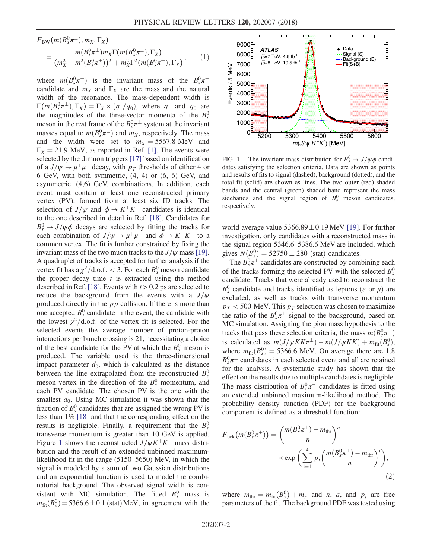$$
F_{BW}(m(B_s^0 \pi^{\pm}), m_X, \Gamma_X)
$$
  
= 
$$
\frac{m(B_s^0 \pi^{\pm}) m_X \Gamma(m(B_s^0 \pi^{\pm}), \Gamma_X)}{(m_X^2 - m^2(B_s^0 \pi^{\pm}))^2 + m_X^2 \Gamma^2(m(B_s^0 \pi^{\pm}), \Gamma_X)},
$$
 (1)

where  $m(B_s^0 \pi^{\pm})$  is the invariant mass of the  $B_s^0 \pi^{\pm}$ candidate and  $m_X$  and  $\Gamma_X$  are the mass and the natural width of the resonance. The mass-dependent width is  $\Gamma(m(B_s^0 \pi^{\pm}), \Gamma_X) = \Gamma_X \times (q_1/q_0)$ , where  $q_1$  and  $q_0$  are the magnitudes of the three-vector momenta of the  $B_s^0$ meson in the rest frame of the  $B_s^0 \pi^{\pm}$  system at the invariant masses equal to  $m(B_s^0 \pi^{\pm})$  and  $m_X$ , respectively. The mass and the width were set to  $m<sub>X</sub> = 5567.8$  MeV and  $\Gamma_X = 21.9$  MeV, as reported in Ref. [1]. The events were selected by the dimuon triggers [17] based on identification of a  $J/\psi \rightarrow \mu^+\mu^-$  decay, with  $p_T$  thresholds of either 4 or 6 GeV, with both symmetric, (4, 4) or (6, 6) GeV, and asymmetric, (4,6) GeV, combinations. In addition, each event must contain at least one reconstructed primary vertex (PV), formed from at least six ID tracks. The selection of  $J/\psi$  and  $\phi \rightarrow K^+K^-$  candidates is identical to the one described in detail in Ref. [18]. Candidates for  $B_s^0 \rightarrow J/\psi \phi$  decays are selected by fitting the tracks for each combination of  $J/\psi \rightarrow \mu^+\mu^-$  and  $\ddot{\phi} \rightarrow K^+K^-$  to a common vertex. The fit is further constrained by fixing the invariant mass of the two muon tracks to the  $J/\psi$  mass [19]. A quadruplet of tracks is accepted for further analysis if the vertex fit has a  $\chi^2$ /d.o.f. < 3. For each  $B_s^0$  meson candidate the proper decay time  $t$  is extracted using the method described in Ref. [18]. Events with  $t > 0.2$  ps are selected to reduce the background from the events with a  $J/\psi$ produced directly in the  $pp$  collision. If there is more than one accepted  $B_s^0$  candidate in the event, the candidate with the lowest  $\chi^2/\text{d.o.f.}$  of the vertex fit is selected. For the selected events the average number of proton-proton interactions per bunch crossing is 21, necessitating a choice of the best candidate for the PV at which the  $B_s^0$  meson is produced. The variable used is the three-dimensional impact parameter  $d_0$ , which is calculated as the distance between the line extrapolated from the reconstructed  $B_s^0$ meson vertex in the direction of the  $B_s^0$  momentum, and each PV candidate. The chosen PV is the one with the smallest  $d_0$ . Using MC simulation it was shown that the fraction of  $B_s^0$  candidates that are assigned the wrong PV is less than 1% [18] and that the corresponding effect on the results is negligible. Finally, a requirement that the  $B_s^0$ transverse momentum is greater than 10 GeV is applied. Figure 1 shows the reconstructed  $J/\psi K^+K^-$  mass distribution and the result of an extended unbinned maximumlikelihood fit in the range (5150–5650) MeV, in which the signal is modeled by a sum of two Gaussian distributions and an exponential function is used to model the combinatorial background. The observed signal width is consistent with MC simulation. The fitted  $B_s^0$  mass is  $m_{\text{fit}}(B_s^0) = 5366.6 \pm 0.1$  (stat) MeV, in agreement with the



FIG. 1. The invariant mass distribution for  $B_s^0 \rightarrow J/\psi \phi$  candidates satisfying the selection criteria. Data are shown as points and results of fits to signal (dashed), background (dotted), and the total fit (solid) are shown as lines. The two outer (red) shaded bands and the central (green) shaded band represent the mass sidebands and the signal region of  $B_s^0$  meson candidates, respectively.

world average value  $5366.89 \pm 0.19$  MeV [19]. For further investigation, only candidates with a reconstructed mass in the signal region 5346.6–5386.6 MeV are included, which gives  $N(B_s^0) = 52750 \pm 280$  (stat) candidates.

The  $B_s^0 \pi^{\pm}$  candidates are constructed by combining each of the tracks forming the selected PV with the selected  $B_s^0$ candidate. Tracks that were already used to reconstruct the  $B_s^0$  candidate and tracks identified as leptons (e or  $\mu$ ) are excluded, as well as tracks with transverse momentum  $p_T < 500$  MeV. This  $p_T$  selection was chosen to maximize the ratio of the  $B_s^0 \pi^{\pm}$  signal to the background, based on MC simulation. Assigning the pion mass hypothesis to the tracks that pass these selection criteria, the mass  $m(B_s^0 \pi^{\pm})$ is calculated as  $m(J/\psi K K \pi^{\pm}) - m(J/\psi K K) + m_{\text{fit}}(B_s^0)$ , where  $m_{\text{fit}}(B_s^0) = 5366.6 \text{ MeV}$ . On average there are 1.8  $B_s^0 \pi^{\pm}$  candidates in each selected event and all are retained for the analysis. A systematic study has shown that the effect on the results due to multiple candidates is negligible. The mass distribution of  $B_s^0 \pi^{\pm}$  candidates is fitted using an extended unbinned maximum-likelihood method. The probability density function (PDF) for the background component is defined as a threshold function:

$$
F_{\text{bck}}(m(B_s^0 \pi^{\pm})) = \left(\frac{m(B_s^0 \pi^{\pm}) - m_{\text{thr}}}{n}\right)^a
$$

$$
\times \exp\left(\sum_{i=1}^4 p_i \left(\frac{m(B_s^0 \pi^{\pm}) - m_{\text{thr}}}{n}\right)^i\right),\tag{2}
$$

where  $m_{\text{thr}} = m_{\text{fit}}(B_s^0) + m_{\pi}$  and n, a, and  $p_i$  are free parameters of the fit. The background PDF was tested using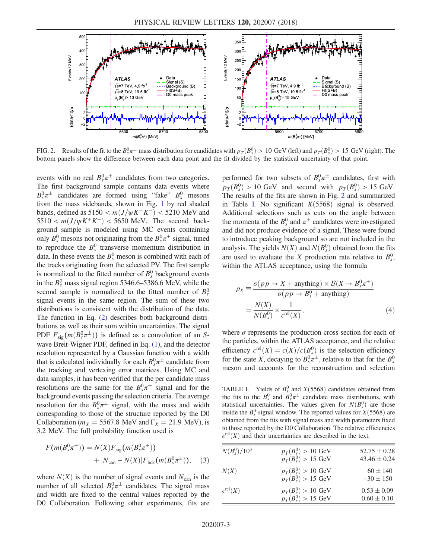

FIG. 2. Results of the fit to the  $B_s^0 \pi^{\pm}$  mass distribution for candidates with  $p_T(B_s^0) > 10$  GeV (left) and  $p_T(B_s^0) > 15$  GeV (right). The bottom panels show the difference between each data point and the fit divided by the statistical uncertainty of that point.

events with no real  $B_s^0 \pi^{\pm}$  candidates from two categories. The first background sample contains data events where  $B_s^0 \pi^{\pm}$  candidates are formed using "fake"  $B_s^0$  mesons from the mass sidebands, shown in Fig. 1 by red shaded bands, defined as  $5150 < m(J/\psi K^+K^-) < 5210$  MeV and  $5510 < m(J/\psi K^+K^-) < 5650$  MeV. The second background sample is modeled using MC events containing only  $B_s^0$  mesons not originating from the  $B_s^0 \pi^{\pm}$  signal, tuned to reproduce the  $B_s^0$  transverse momentum distribution in data. In these events the  $B_s^0$  meson is combined with each of the tracks originating from the selected PV. The first sample is normalized to the fitted number of  $B_s^0$  background events in the  $B_s^0$  mass signal region 5346.6–5386.6 MeV, while the second sample is normalized to the fitted number of  $B_s^0$ signal events in the same region. The sum of these two distributions is consistent with the distribution of the data. The function in Eq. (2) describes both background distributions as well as their sum within uncertainties. The signal PDF  $F_{sig}(m(B_s^0 \pi^{\pm}))$  is defined as a convolution of an Swave Breit-Wigner PDF, defined in Eq. (1), and the detector resolution represented by a Gaussian function with a width that is calculated individually for each  $B_s^0 \pi^{\pm}$  candidate from the tracking and vertexing error matrices. Using MC and data samples, it has been verified that the per candidate mass resolutions are the same for the  $B_s^0 \pi^{\pm}$  signal and for the background events passing the selection criteria. The average resolution for the  $B_s^0 \pi^{\pm}$  signal, with the mass and width corresponding to those of the structure reported by the D0 Collaboration ( $m_X = 5567.8$  MeV and  $\Gamma_X = 21.9$  MeV), is 3.2 MeV. The full probability function used is

$$
F(m(B_s^0 \pi^{\pm})) = N(X) F_{sig}(m(B_s^0 \pi^{\pm})) + [N_{can} - N(X)] F_{bck}(m(B_s^0 \pi^{\pm})), \quad (3)
$$

where  $N(X)$  is the number of signal events and  $N_{\text{can}}$  is the number of all selected  $B_s^0 \pi^{\pm}$  candidates. The signal mass and width are fixed to the central values reported by the D0 Collaboration. Following other experiments, fits are

performed for two subsets of  $B_s^0 \pi^{\pm}$  candidates, first with  $p_T(B_s^0) > 10$  GeV and second with  $p_T(B_s^0) > 15$  GeV. The results of the fits are shown in Fig. 2 and summarized in Table I. No significant  $X(5568)$  signal is observed. Additional selections such as cuts on the angle between the momenta of the  $B_s^0$  and  $\pi^{\pm}$  candidates were investigated and did not produce evidence of a signal. These were found to introduce peaking background so are not included in the analysis. The yields  $N(X)$  and  $N(B_s^0)$  obtained from the fits are used to evaluate the X production rate relative to  $B_s^0$ , within the ATLAS acceptance, using the formula

$$
\rho_X \equiv \frac{\sigma(p \, p \to X + \text{anything}) \times \mathcal{B}(X \to B_s^0 \pi^{\pm})}{\sigma(p \, p \to B_s^0 + \text{anything})}
$$
\n
$$
= \frac{N(X)}{N(B_s^0)} \times \frac{1}{\epsilon^{\text{rel}}(X)}, \tag{4}
$$

where  $\sigma$  represents the production cross section for each of the particles, within the ATLAS acceptance, and the relative efficiency  $\epsilon^{rel}(X) = \epsilon(X)/\epsilon(B_s^0)$  is the selection efficiency for the state X, decaying to  $B_s^0 \pi^{\pm}$ , relative to that for the  $B_s^0$ meson and accounts for the reconstruction and selection

TABLE I. Yields of  $B_s^0$  and  $X(5568)$  candidates obtained from the fits to the  $B_s^0$  and  $B_s^0 \pi^{\pm}$  candidate mass distributions, with statistical uncertainties. The values given for  $N(B_s^0)$  are those inside the  $B_s^0$  signal window. The reported values for  $X(5568)$  are obtained from the fits with signal mass and width parameters fixed to those reported by the D0 Collaboration. The relative efficiencies  $\epsilon^{\text{rel}}(X)$  and their uncertainties are described in the text.

| $N(B_s^0)/10^3$            | $p_T(B_s^0) > 10 \text{ GeV}$<br>$p_T(B_s^0) > 15$ GeV         | $52.75 \pm 0.28$<br>$43.46 \pm 0.24$ |
|----------------------------|----------------------------------------------------------------|--------------------------------------|
| N(X)                       | $p_T(B_s^0) > 10 \text{ GeV}$<br>$p_T(B_s^0) > 15 \text{ GeV}$ | $60 \pm 140$<br>$-30 \pm 150$        |
| $\epsilon^{\text{rel}}(X)$ | $p_T(B_s^0) > 10 \text{ GeV}$<br>$p_T(B_s^0) > 15 \text{ GeV}$ | $0.53 \pm 0.09$<br>$0.60 \pm 0.10$   |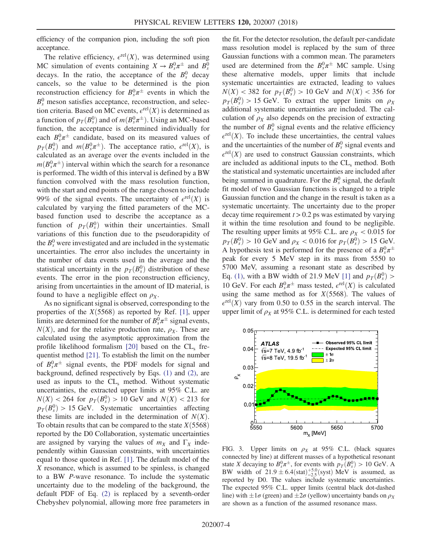efficiency of the companion pion, including the soft pion acceptance.

The relative efficiency,  $e^{rel}(X)$ , was determined using MC simulation of events containing  $X \to B_s^0 \pi^{\pm}$  and  $B_s^0$ decays. In the ratio, the acceptance of the  $B_s^0$  decay cancels, so the value to be determined is the pion reconstruction efficiency for  $B_s^0 \pi^{\pm}$  events in which the  $B_s^0$  meson satisfies acceptance, reconstruction, and selection criteria. Based on MC events,  $\epsilon^{rel}(X)$  is determined as a function of  $p_T(B_s^0)$  and of  $m(B_s^0 \pi^{\pm})$ . Using an MC-based function, the acceptance is determined individually for each  $B_s^0 \pi^{\pm}$  candidate, based on its measured values of  $p_T(B_s^0)$  and  $m(B_s^0 \pi^{\pm})$ . The acceptance ratio,  $\epsilon^{rel}(X)$ , is calculated as an average over the events included in the  $m(B_s^0 \pi^{\pm})$  interval within which the search for a resonance is performed. The width of this interval is defined by a BW function convolved with the mass resolution function, with the start and end points of the range chosen to include 99% of the signal events. The uncertainty of  $\epsilon^{rel}(X)$  is calculated by varying the fitted parameters of the MCbased function used to describe the acceptance as a function of  $p_T(B_s^0)$  within their uncertainties. Small variations of this function due to the pseudorapidity of the  $B_s^0$  were investigated and are included in the systematic uncertainties. The error also includes the uncertainty in the number of data events used in the average and the statistical uncertainty in the  $p_T(B_s^0)$  distribution of these events. The error in the pion reconstruction efficiency, arising from uncertainties in the amount of ID material, is found to have a negligible effect on  $\rho_X$ .

As no significant signal is observed, corresponding to the properties of the  $X(5568)$  as reported by Ref. [1], upper limits are determined for the number of  $B_s^0 \pi^{\pm}$  signal events,  $N(X)$ , and for the relative production rate,  $\rho_X$ . These are calculated using the asymptotic approximation from the profile likelihood formalism  $[20]$  based on the  $CL<sub>s</sub>$  frequentist method [21]. To establish the limit on the number of  $B_s^0 \pi^{\pm}$  signal events, the PDF models for signal and background, defined respectively by Eqs. (1) and (2), are used as inputs to the  $CL<sub>s</sub>$  method. Without systematic uncertainties, the extracted upper limits at 95% C.L. are  $N(X) < 264$  for  $p_T(B_s^0) > 10$  GeV and  $N(X) < 213$  for  $p_T(B_s^0) > 15$  GeV. Systematic uncertainties affecting these limits are included in the determination of  $N(X)$ . To obtain results that can be compared to the state  $X(5568)$ reported by the D0 Collaboration, systematic uncertainties are assigned by varying the values of  $m<sub>X</sub>$  and  $\Gamma<sub>X</sub>$  independently within Gaussian constraints, with uncertainties equal to those quoted in Ref. [1]. The default model of the X resonance, which is assumed to be spinless, is changed to a BW P-wave resonance. To include the systematic uncertainty due to the modeling of the background, the default PDF of Eq. (2) is replaced by a seventh-order Chebyshev polynomial, allowing more free parameters in the fit. For the detector resolution, the default per-candidate mass resolution model is replaced by the sum of three Gaussian functions with a common mean. The parameters used are determined from the  $B_s^0 \pi^{\pm}$  MC sample. Using these alternative models, upper limits that include systematic uncertainties are extracted, leading to values  $N(X) < 382$  for  $p_T(B_s^0) > 10$  GeV and  $N(X) < 356$  for  $p_T(B_s^0) > 15$  GeV. To extract the upper limits on  $\rho_X$ additional systematic uncertainties are included. The calculation of  $\rho_X$  also depends on the precision of extracting the number of  $B_s^0$  signal events and the relative efficiency  $\epsilon^{\text{rel}}(X)$ . To include these uncertainties, the central values and the uncertainties of the number of  $B_s^0$  signal events and  $\epsilon^{\text{rel}}(X)$  are used to construct Gaussian constraints, which are included as additional inputs to the  $CL<sub>s</sub>$  method. Both the statistical and systematic uncertainties are included after being summed in quadrature. For the  $B_s^0$  signal, the default fit model of two Gaussian functions is changed to a triple Gaussian function and the change in the result is taken as a systematic uncertainty. The uncertainty due to the proper decay time requirement  $t > 0.2$  ps was estimated by varying it within the time resolution and found to be negligible. The resulting upper limits at 95% C.L. are  $\rho_X < 0.015$  for  $p_T(B_s^0) > 10$  GeV and  $\rho_X < 0.016$  for  $p_T(B_s^0) > 15$  GeV. A hypothesis test is performed for the presence of a  $B_s^0 \pi^{\pm}$ peak for every 5 MeV step in its mass from 5550 to 5700 MeV, assuming a resonant state as described by Eq. (1), with a BW width of 21.9 MeV [1] and  $p_T(B_s^0)$  > 10 GeV. For each  $B_s^0 \pi^{\pm}$  mass tested,  $\epsilon^{rel}(X)$  is calculated using the same method as for  $X(5568)$ . The values of  $\epsilon^{\text{rel}}(X)$  vary from 0.50 to 0.55 in the search interval. The upper limit of  $\rho_X$  at 95% C.L. is determined for each tested



FIG. 3. Upper limits on  $\rho_X$  at 95% C.L. (black squares connected by line) at different masses of a hypothetical resonant state X decaying to  $B_s^0 \pi^{\pm}$ , for events with  $p_T(B_s^0) > 10$  GeV. A BW width of  $21.9 \pm 6.4$ (stat) $^{+5.0}_{-2.5}$ (syst) MeV is assumed, as reported by D0. The values include systematic uncertainties. The expected 95% C.L. upper limits (central black dot-dashed line) with  $\pm 1\sigma$  (green) and  $\pm 2\sigma$  (yellow) uncertainty bands on  $\rho_X$ are shown as a function of the assumed resonance mass.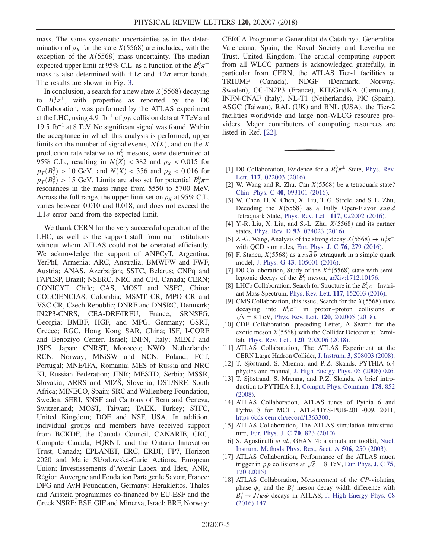mass. The same systematic uncertainties as in the determination of  $\rho_X$  for the state  $X(5568)$  are included, with the exception of the  $X(5568)$  mass uncertainty. The median expected upper limit at 95% C.L. as a function of the  $B_s^0 \pi^{\pm}$ mass is also determined with  $\pm 1\sigma$  and  $\pm 2\sigma$  error bands. The results are shown in Fig. 3.

In conclusion, a search for a new state  $X(5568)$  decaying to  $B_s^0 \pi^{\pm}$ , with properties as reported by the D0 Collaboration, was performed by the ATLAS experiment at the LHC, using 4.9 fb<sup>-1</sup> of pp collision data at 7 TeV and 19.5 fb<sup>−</sup><sup>1</sup> at 8 TeV. No significant signal was found. Within the acceptance in which this analysis is performed, upper limits on the number of signal events,  $N(X)$ , and on the X production rate relative to  $B_s^0$  mesons, were determined at 95% C.L., resulting in  $N(X) < 382$  and  $\rho_X < 0.015$  for  $p_T(B_s^0) > 10$  GeV, and  $N(X) < 356$  and  $\rho_X < 0.016$  for  $p_T(B_s^0) > 15$  GeV. Limits are also set for potential  $B_s^0 \pi^{\pm}$ resonances in the mass range from 5550 to 5700 MeV. Across the full range, the upper limit set on  $\rho_X$  at 95% C.L. varies between 0.010 and 0.018, and does not exceed the  $\pm 1\sigma$  error band from the expected limit.

We thank CERN for the very successful operation of the LHC, as well as the support staff from our institutions without whom ATLAS could not be operated efficiently. We acknowledge the support of ANPCyT, Argentina; YerPhI, Armenia; ARC, Australia; BMWFW and FWF, Austria; ANAS, Azerbaijan; SSTC, Belarus; CNPq and FAPESP, Brazil; NSERC, NRC and CFI, Canada; CERN; CONICYT, Chile; CAS, MOST and NSFC, China; COLCIENCIAS, Colombia; MSMT CR, MPO CR and VSC CR, Czech Republic; DNRF and DNSRC, Denmark; IN2P3-CNRS, CEA-DRF/IRFU, France; SRNSFG, Georgia; BMBF, HGF, and MPG, Germany; GSRT, Greece; RGC, Hong Kong SAR, China; ISF, I-CORE and Benoziyo Center, Israel; INFN, Italy; MEXT and JSPS, Japan; CNRST, Morocco; NWO, Netherlands; RCN, Norway; MNiSW and NCN, Poland; FCT, Portugal; MNE/IFA, Romania; MES of Russia and NRC KI, Russian Federation; JINR; MESTD, Serbia; MSSR, Slovakia; ARRS and MIZŠ, Slovenia; DST/NRF, South Africa; MINECO, Spain; SRC and Wallenberg Foundation, Sweden; SERI, SNSF and Cantons of Bern and Geneva, Switzerland; MOST, Taiwan; TAEK, Turkey; STFC, United Kingdom; DOE and NSF, USA. In addition, individual groups and members have received support from BCKDF, the Canada Council, CANARIE, CRC, Compute Canada, FQRNT, and the Ontario Innovation Trust, Canada; EPLANET, ERC, ERDF, FP7, Horizon 2020 and Marie Skłodowska-Curie Actions, European Union; Investissements d'Avenir Labex and Idex, ANR, Région Auvergne and Fondation Partager le Savoir, France; DFG and AvH Foundation, Germany; Herakleitos, Thales and Aristeia programmes co-financed by EU-ESF and the Greek NSRF; BSF, GIF and Minerva, Israel; BRF, Norway; CERCA Programme Generalitat de Catalunya, Generalitat Valenciana, Spain; the Royal Society and Leverhulme Trust, United Kingdom. The crucial computing support from all WLCG partners is acknowledged gratefully, in particular from CERN, the ATLAS Tier-1 facilities at TRIUMF (Canada), NDGF (Denmark, Norway, Sweden), CC-IN2P3 (France), KIT/GridKA (Germany), INFN-CNAF (Italy), NL-T1 (Netherlands), PIC (Spain), ASGC (Taiwan), RAL (UK) and BNL (USA), the Tier-2 facilities worldwide and large non-WLCG resource providers. Major contributors of computing resources are listed in Ref. [22].

- [1] D0 Collaboration, Evidence for a  $B_s^0 \pi^{\pm}$  State, Phys. Rev. Lett. 117, 022003 (2016).
- [2] W. Wang and R. Zhu, Can  $X(5568)$  be a tetraquark state? Chin. Phys. C 40, 093101 (2016).
- [3] W. Chen, H. X. Chen, X. Liu, T. G. Steele, and S. L. Zhu, Decoding the  $X(5568)$  as a Fully Open-Flavor sub  $\overline{d}$ Tetraquark State, Phys. Rev. Lett. 117, 022002 (2016).
- [4] Y.-R. Liu, X. Liu, and S.-L. Zhu,  $X(5568)$  and its partner states, Phys. Rev. D 93, 074023 (2016).
- [5] Z.-G. Wang, Analysis of the strong decay  $X(5568) \rightarrow B_s^0 \pi^+$ with QCD sum rules, Eur. Phys. J. C 76, 279 (2016).
- [6] F. Stancu,  $X(5568)$  as a sud b tetraquark in a simple quark model, J. Phys. G 43, 105001 (2016).
- [7] D0 Collaboration, Study of the  $X^{\pm}$ (5568) state with semileptonic decays of the  $B_s^0$  meson, arXiv:1712.10176.
- [8] LHCb Collaboration, Search for Structure in the  $B_s^0 \pi^{\pm}$  Invariant Mass Spectrum, Phys. Rev. Lett. 117, 152003 (2016).
- [9] CMS Collaboration, this issue, Search for the  $X(5568)$  state decaying into  $B_s^0 \pi^{\pm}$  in proton–proton collisions at  $\sqrt{s} = 8$  TeV, Phys. Rev. Lett. 120, 202005 (2018).
- [10] CDF Collaboration, preceding Letter, A Search for the exotic meson  $X(5568)$  with the Collider Detector at Fermilab, Phys. Rev. Lett. 120, 202006 (2018).
- [11] ATLAS Collaboration, The ATLAS Experiment at the CERN Large Hadron Collider, J. Instrum. 3, S08003 (2008).
- [12] T. Sjöstrand, S. Mrenna, and P. Z. Skands, PYTHIA 6.4 physics and manual, J. High Energy Phys. 05 (2006) 026.
- [13] T. Sjöstrand, S. Mrenna, and P.Z. Skands, A brief introduction to PYTHIA 8.1, Comput. Phys. Commun. 178, 852 (2008).
- [14] ATLAS Collaboration, ATLAS tunes of Pythia 6 and Pythia 8 for MC11, ATL-PHYS-PUB-2011-009, 2011, https://cds.cern.ch/record/1363300.
- [15] ATLAS Collaboration, The ATLAS simulation infrastructure, Eur. Phys. J. C 70, 823 (2010).
- [16] S. Agostinelli et al., GEANT4: a simulation toolkit, Nucl. Instrum. Methods Phys. Res., Sect. A 506, 250 (2003).
- [17] ATLAS Collaboration, Performance of the ATLAS muon trigger in pp collisions at  $\sqrt{s} = 8$  TeV, Eur. Phys. J. C 75, 120 (2015).
- [18] ATLAS Collaboration, Measurement of the CP-violating phase  $\phi_s$  and the  $B_s^0$  meson decay width difference with  $\dot{B}_s^0 \rightarrow \dot{J}/\psi \phi$  decays in ATLAS, J. High Energy Phys. 08 (2016) 147.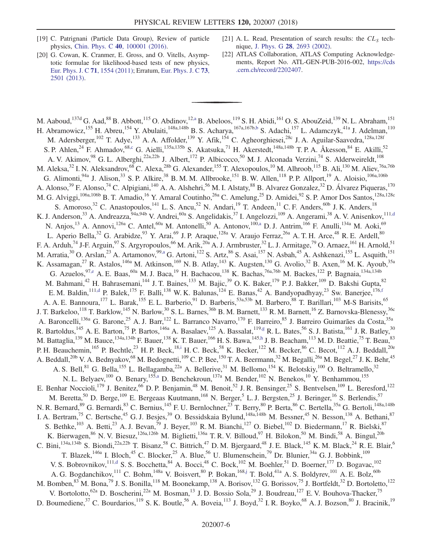- [19] C. Patrignani (Particle Data Group), Review of particle physics, Chin. Phys. C 40, 100001 (2016).
- [20] G. Cowan, K. Cranmer, E. Gross, and O. Vitells, Asymptotic formulae for likelihood-based tests of new physics, Eur. Phys. J. C 71, 1554 (2011); Erratum, Eur. Phys. J. C 73, 2501 (2013).
- [21] A.L. Read, Presentation of search results: the  $CL<sub>S</sub>$  technique, J. Phys. G 28, 2693 (2002).
- [22] ATLAS Collaboration, ATLAS Computing Acknowledgements, Report No. ATL-GEN-PUB-2016-002, https://cds .cern.ch/record/2202407.

M. Aaboud,  $^{137d}$  G. Aad,  $^{88}$  B. Abbott,  $^{115}$  O. Abdinov,  $^{12,a}$  B. Abeloos,  $^{119}$  S. H. Abidi,  $^{161}$  O. S. AbouZeid,  $^{139}$  N. L. Abraham,  $^{151}$ H. Abramowicz,<sup>155</sup> H. Abreu,<sup>154</sup> Y. Abulaiti,<sup>148a,148b</sup> B. S. Acharya,<sup>167a,167b,b</sup> S. Adachi,<sup>157</sup> L. Adamczyk,<sup>41a</sup> J. Adelman,<sup>110</sup> M. Adersberger,<sup>102</sup> T. Adye,<sup>133</sup> A. A. Affolder,<sup>139</sup> Y. Afik,<sup>154</sup> C. Agheorghiesei,<sup>28c</sup> J. A. Aguilar-Saavedra,<sup>128a,128f</sup> S. P. Ahlen,<sup>24</sup> F. Ahmadov,<sup>68,c</sup> G. Aielli,<sup>135a,135b</sup> S. Akatsuka,<sup>71</sup> H. Akerstedt,<sup>148a,148b</sup> T. P. A. Åkesson,<sup>84</sup> E. Akilli,<sup>52</sup> A. V. Akimov,<sup>98</sup> G. L. Alberghi,<sup>22a,22b</sup> J. Albert,<sup>172</sup> P. Albicocco,<sup>50</sup> M. J. Alconada Verzini,<sup>74</sup> S. Alderweireldt,<sup>108</sup> M. Aleksa,<sup>32</sup> I. N. Aleksandrov,<sup>68</sup> C. Alexa,<sup>28b</sup> G. Alexander,<sup>155</sup> T. Alexopoulos,<sup>10</sup> M. Alhroob,<sup>115</sup> B. Ali,<sup>130</sup> M. Aliev,<sup>76a,76b</sup> G. Alimonti,  $94a$  J. Alison,  $33$  S. P. Alkire,  $38$  B. M. M. Allbrooke,  $151$  B. W. Allen,  $118$  P. P. Allport,  $19$  A. Aloisio,  $106a$ ,  $106b$ A. Alonso,<sup>39</sup> F. Alonso,<sup>74</sup> C. Alpigiani,<sup>140</sup> A. A. Alshehri,<sup>56</sup> M. I. Alstaty,<sup>88</sup> B. Alvarez Gonzalez,<sup>32</sup> D. Álvarez Piqueras,<sup>170</sup> M. G. Alviggi,<sup>106a,106b</sup> B. T. Amadio,<sup>16</sup> Y. Amaral Coutinho,<sup>26a</sup> C. Amelung,<sup>25</sup> D. Amidei,<sup>92</sup> S. P. Amor Dos Santos,<sup>128a,128c</sup> S. Amoroso,<sup>32</sup> C. Anastopoulos,<sup>141</sup> L. S. Ancu,<sup>52</sup> N. Andari,<sup>19</sup> T. Andeen,<sup>11</sup> C. F. Anders,<sup>60b</sup> J. K. Anders,<sup>18</sup> K. J. Anderson,<sup>33</sup> A. Andreazza,<sup>94a,94b</sup> V. Andrei,<sup>60a</sup> S. Angelidakis,<sup>37</sup> I. Angelozzi,<sup>109</sup> A. Angerami,<sup>38</sup> A. V. Anisenkov,<sup>111,d</sup> N. Anjos,<sup>13</sup> A. Annovi,<sup>126a</sup> C. Antel,<sup>60a</sup> M. Antonelli,<sup>50</sup> A. Antonov,<sup>100,a</sup> D. J. Antrim,<sup>166</sup> F. Anulli,<sup>134a</sup> M. Aoki,<sup>69</sup> L. Aperio Bella,<sup>32</sup> G. Arabidze,<sup>93</sup> Y. Arai,<sup>69</sup> J. P. Araque,<sup>128a</sup> V. Araujo Ferraz,<sup>26a</sup> A. T. H. Arce,<sup>48</sup> R. E. Ardell,<sup>80</sup> F. A. Arduh,<sup>74</sup> J-F. Arguin,<sup>97</sup> S. Argyropoulos,<sup>66</sup> M. Arik,<sup>20a</sup> A. J. Armbruster,<sup>32</sup> L. J. Armitage,<sup>79</sup> O. Arnaez,<sup>161</sup> H. Arnold,<sup>51</sup> M. Arratia,<sup>30</sup> O. Arslan,<sup>23</sup> A. Artamonov,<sup>99,a</sup> G. Artoni,<sup>122</sup> S. Artz,<sup>86</sup> S. Asai,<sup>157</sup> N. Asbah,<sup>45</sup> A. Ashkenazi,<sup>155</sup> L. Asquith,<sup>151</sup> K. Assamagan,<sup>27</sup> R. Astalos,<sup>146a</sup> M. Atkinson,<sup>169</sup> N. B. Atlay,<sup>143</sup> K. Augsten,<sup>130</sup> G. Avolio,<sup>32</sup> B. Axen,<sup>16</sup> M. K. Ayoub,<sup>35a</sup> G. Azuelos,  $97, e$  A. E. Baas,  $60a$  M. J. Baca,  $19$  H. Bachacou,  $138$  K. Bachas,  $76a,76b$  M. Backes,  $122$  P. Bagnaia,  $134a,134b$ M. Bahmani,<sup>42</sup> H. Bahrasemani,<sup>144</sup> J. T. Baines,<sup>133</sup> M. Bajic,<sup>39</sup> O. K. Baker,<sup>179</sup> P. J. Bakker,<sup>109</sup> D. Bakshi Gupta,<sup>82</sup> E. M. Baldin,  $^{111,d}$  P. Balek,  $^{175}$  F. Balli,  $^{138}$  W. K. Balunas,  $^{124}$  E. Banas,  $^{42}$  A. Bandyopadhyay,  $^{23}$  Sw. Banerjee,  $^{176,f}$ A. A. E. Bannoura,<sup>177</sup> L. Barak,<sup>155</sup> E. L. Barberio,<sup>91</sup> D. Barberis,<sup>53a,53b</sup> M. Barbero,<sup>88</sup> T. Barillari,<sup>103</sup> M-S Barisits,<sup>65</sup> J. T. Barkeloo,<sup>118</sup> T. Barklow,<sup>145</sup> N. Barlow,<sup>30</sup> S. L. Barnes,<sup>36b</sup> B. M. Barnett,<sup>133</sup> R. M. Barnett,<sup>16</sup> Z. Barnovska-Blenessy,<sup>36c</sup> A. Baroncelli, <sup>136a</sup> G. Barone, <sup>25</sup> A. J. Barr, <sup>122</sup> L. Barranco Navarro, <sup>170</sup> F. Barreiro, <sup>85</sup> J. Barreiro Guimarães da Costa, <sup>35a</sup> R. Bartoldus,<sup>145</sup> A. E. Barton,<sup>75</sup> P. Bartos,<sup>146a</sup> A. Basalaev,<sup>125</sup> A. Bassalat,<sup>119,g</sup> R. L. Bates,<sup>56</sup> S. J. Batista,<sup>161</sup> J. R. Batley,<sup>30</sup> M. Battaglia,<sup>139</sup> M. Bauce,<sup>134a,134b</sup> F. Bauer,<sup>138</sup> K. T. Bauer,<sup>166</sup> H. S. Bawa,<sup>145,h</sup> J. B. Beacham,<sup>113</sup> M. D. Beattie,<sup>75</sup> T. Beau,<sup>83</sup> P. H. Beauchemin,<sup>165</sup> P. Bechtle,<sup>23</sup> H. P. Beck,<sup>18,i</sup> H. C. Beck,<sup>58</sup> K. Becker,<sup>122</sup> M. Becker,<sup>86</sup> C. Becot,<sup>112</sup> A. J. Beddall,<sup>20e</sup> A. Beddall,  $^{20b}$  V. A. Bednyakov,  $^{68}$  M. Bedognetti,  $^{109}$  C. P. Bee,  $^{150}$  T. A. Beermann,  $^{32}$  M. Begalli,  $^{26a}$  M. Begel,  $^{27}$  J. K. Behr,  $^{45}$ A. S. Bell,<sup>81</sup> G. Bella,<sup>155</sup> L. Bellagamba,<sup>22a</sup> A. Bellerive,<sup>31</sup> M. Bellomo,<sup>154</sup> K. Belotskiy,<sup>100</sup> O. Beltramello,<sup>32</sup> N. L. Belyaev,<sup>100</sup> O. Benary,<sup>155,a</sup> D. Benchekroun,<sup>137a</sup> M. Bender,<sup>102</sup> N. Benekos,<sup>10</sup> Y. Benhammou,<sup>155</sup> E. Benhar Noccioli,<sup>179</sup> J. Benitez,<sup>66</sup> D. P. Benjamin,<sup>48</sup> M. Benoit,<sup>52</sup> J. R. Bensinger,<sup>25</sup> S. Bentvelsen,<sup>109</sup> L. Beresford,<sup>122</sup> M. Beretta,<sup>50</sup> D. Berge,<sup>109</sup> E. Bergeaas Kuutmann,<sup>168</sup> N. Berger,<sup>5</sup> L. J. Bergsten,<sup>25</sup> J. Beringer,<sup>16</sup> S. Berlendis,<sup>57</sup> N. R. Bernard, <sup>89</sup> G. Bernardi, <sup>83</sup> C. Bernius, <sup>145</sup> F. U. Bernlochner, <sup>23</sup> T. Berry, <sup>80</sup> P. Berta, <sup>86</sup> C. Bertella, <sup>35a</sup> G. Bertoli, <sup>148a, 148b</sup> I. A. Bertram,<sup>75</sup> C. Bertsche,<sup>45</sup> G. J. Besjes,<sup>39</sup> O. Bessidskaia Bylund,<sup>148a,148b</sup> M. Bessner,<sup>45</sup> N. Besson,<sup>138</sup> A. Bethani,<sup>87</sup> S. Bethke,<sup>103</sup> A. Betti,<sup>23</sup> A. J. Bevan,<sup>79</sup> J. Beyer,<sup>103</sup> R. M. Bianchi,<sup>127</sup> O. Biebel,<sup>102</sup> D. Biedermann,<sup>17</sup> R. Bielski,<sup>87</sup> K. Bierwagen,  ${}^{86}$  N. V. Biesuz,  ${}^{126a,126b}$  M. Biglietti, ${}^{136a}$  T. R. V. Billoud, ${}^{97}$  H. Bilokon, ${}^{50}$  M. Bindi, ${}^{58}$  A. Bingul, ${}^{20b}$ C. Bini,<sup>134a,134b</sup> S. Biondi,<sup>22a,22b</sup> T. Bisanz,<sup>58</sup> C. Bittrich,<sup>47</sup> D. M. Bjergaard,<sup>48</sup> J. E. Black,<sup>145</sup> K. M. Black,<sup>24</sup> R. E. Blair,<sup>6</sup> T. Blazek,<sup>146a</sup> I. Bloch,<sup>45</sup> C. Blocker,<sup>25</sup> A. Blue,<sup>56</sup> U. Blumenschein,<sup>79</sup> Dr. Blunier,<sup>34a</sup> G. J. Bobbink,<sup>109</sup> V. S. Bobrovnikov,  $^{111,d}$  S. S. Bocchetta,  $^{84}$  A. Bocci,  $^{48}$  C. Bock,  $^{102}$  M. Boehler,  $^{51}$  D. Boerner,  $^{177}$  D. Bogavac,  $^{102}$ A. G. Bogdanchikov,<sup>111</sup> C. Bohm,<sup>148a</sup> V. Boisvert,<sup>80</sup> P. Bokan,<sup>168,j</sup> T. Bold,<sup>41a</sup> A. S. Boldyrev,<sup>101</sup> A. E. Bolz,<sup>60b</sup> M. Bomben,  $83$  M. Bona,  $79$  J. S. Bonilla,  $^{118}$  M. Boonekamp,  $^{138}$  A. Borisov,  $^{132}$  G. Borissov,  $^{75}$  J. Bortfeldt,  $^{32}$  D. Bortoletto,  $^{122}$ V. Bortolotto,<sup>62a</sup> D. Boscherini,<sup>22a</sup> M. Bosman,<sup>13</sup> J. D. Bossio Sola,<sup>29</sup> J. Boudreau,<sup>127</sup> E. V. Bouhova-Thacker,<sup>75</sup> D. Boumediene,<sup>37</sup> C. Bourdarios,<sup>119</sup> S. K. Boutle,<sup>56</sup> A. Boveia,<sup>113</sup> J. Boyd,<sup>32</sup> I. R. Boyko,<sup>68</sup> A. J. Bozson,<sup>80</sup> J. Bracinik,<sup>19</sup>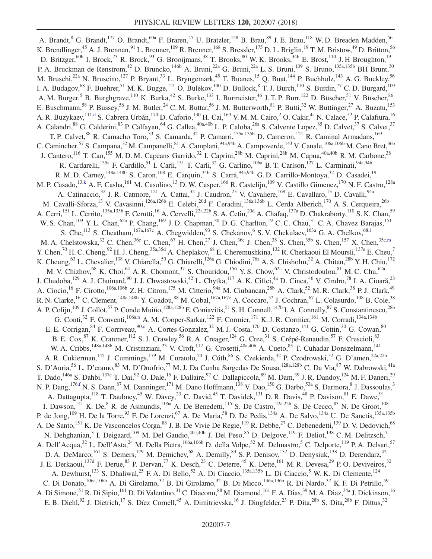A. Brandt, <sup>8</sup> G. Brandt,<sup>177</sup> O. Brandt,<sup>60a</sup> F. Braren,<sup>45</sup> U. Bratzler,<sup>158</sup> B. Brau,<sup>89</sup> J. E. Brau,<sup>118</sup> W. D. Breaden Madden,<sup>56</sup> K. Brendlinger,<sup>45</sup> A. J. Brennan,<sup>91</sup> L. Brenner,<sup>109</sup> R. Brenner,<sup>168</sup> S. Bressler,<sup>175</sup> D. L. Briglin,<sup>19</sup> T. M. Bristow,<sup>49</sup> D. Britton,<sup>56</sup> D. Britzger,  $60b$  I. Brock,  $23$  R. Brock,  $93$  G. Brooijmans,  $38$  T. Brooks,  $80$  W. K. Brooks,  $34b$  E. Brost,  $110$  J. H Broughton,  $19$ P. A. Bruckman de Renstrom,<sup>42</sup> D. Bruncko,<sup>146b</sup> A. Bruni,<sup>22a</sup> G. Bruni,<sup>22a</sup> L. S. Bruni,<sup>109</sup> S. Bruno,<sup>135a,135b</sup> BH Brunt,<sup>30</sup> M. Bruschi,<sup>22a</sup> N. Bruscino,<sup>127</sup> P. Bryant,<sup>33</sup> L. Bryngemark,<sup>45</sup> T. Buanes,<sup>15</sup> Q. Buat,<sup>144</sup> P. Buchholz,<sup>143</sup> A. G. Buckley,<sup>56</sup> I. A. Budagov,  $^{68}$  F. Buehrer,  $^{51}$  M. K. Bugge,  $^{121}$  O. Bulekov,  $^{100}$  D. Bullock,  $^{8}$  T. J. Burch,  $^{110}$  S. Burdin,  $^{77}$  C. D. Burgard,  $^{109}$ A. M. Burger,<sup>5</sup> B. Burghgrave,<sup>110</sup> K. Burka,<sup>42</sup> S. Burke,<sup>133</sup> I. Burmeister,<sup>46</sup> J. T. P. Burr,<sup>122</sup> D. Büscher,<sup>51</sup> V. Büscher,<sup>86</sup> E. Buschmann,<sup>58</sup> P. Bussey,<sup>56</sup> J. M. Butler,<sup>24</sup> C. M. Buttar,<sup>56</sup> J. M. Butterworth,<sup>81</sup> P. Butti,<sup>32</sup> W. Buttinger,<sup>27</sup> A. Buzatu,<sup>153</sup> A. R. Buzykaev,  $^{111, d}$  S. Cabrera Urbán,  $^{170}$  D. Caforio,  $^{130}$  H. Cai,  $^{169}$  V. M. M. Cairo,  $^2$  O. Cakir,  $^{4a}$  N. Calace,  $^{52}$  P. Calafiura,  $^{16}$ A. Calandri,<sup>88</sup> G. Calderini,<sup>83</sup> P. Calfayan,<sup>64</sup> G. Callea,<sup>40a,40b</sup> L. P. Caloba,<sup>26a</sup> S. Calvente Lopez,<sup>85</sup> D. Calvet,<sup>37</sup> S. Calvet,<sup>37</sup> T. P. Calvet, <sup>88</sup> R. Camacho Toro, <sup>33</sup> S. Camarda, <sup>32</sup> P. Camarri, <sup>135a, 135b</sup> D. Cameron, <sup>121</sup> R. Caminal Armadans, <sup>169</sup> C. Camincher,<sup>57</sup> S. Campana,<sup>32</sup> M. Campanelli,<sup>81</sup> A. Camplani,<sup>94a,94b</sup> A. Campoverde,<sup>143</sup> V. Canale,<sup>106a,106b</sup> M. Cano Bret,<sup>36b</sup> J. Cantero,<sup>116</sup> T. Cao,<sup>155</sup> M. D. M. Capeans Garrido,<sup>32</sup> I. Caprini,<sup>28b</sup> M. Caprini,<sup>28b</sup> M. Capua,<sup>40a,40b</sup> R. M. Carbone,<sup>38</sup> R. Cardarelli,<sup>135a</sup> F. Cardillo,<sup>51</sup> I. Carli,<sup>131</sup> T. Carli,<sup>32</sup> G. Carlino,<sup>106a</sup> B. T. Carlson,<sup>127</sup> L. Carminati,<sup>94a,94b</sup> R. M. D. Carney, <sup>148a, 148b</sup> S. Caron, <sup>108</sup> E. Carquin, <sup>34b</sup> S. Carrá, <sup>94a, 94b</sup> G. D. Carrillo-Montoya, <sup>32</sup> D. Casadei, <sup>19</sup> M. P. Casado, <sup>13,k</sup> A. F. Casha, <sup>161</sup> M. Casolino, <sup>13</sup> D. W. Casper, <sup>166</sup> R. Castelijn, <sup>109</sup> V. Castillo Gimenez, <sup>170</sup> N. F. Castro, <sup>128a</sup> A. Catinaccio,<sup>32</sup> J. R. Catmore,<sup>121</sup> A. Cattai,<sup>32</sup> J. Caudron,<sup>23</sup> V. Cavaliere,<sup>169</sup> E. Cavallaro,<sup>13</sup> D. Cavalli,<sup>94a</sup> M. Cavalli-Sforza,<sup>13</sup> V. Cavasinni,<sup>126a,126b</sup> E. Celebi,<sup>20d</sup> F. Ceradini,<sup>136a,136b</sup> L. Cerda Alberich,<sup>170</sup> A. S. Cerqueira,<sup>26b</sup> A. Cerri,<sup>151</sup> L. Cerrito,<sup>135a,135b</sup> F. Cerutti,<sup>16</sup> A. Cervelli,<sup>22a,22b</sup> S. A. Cetin,<sup>20d</sup> A. Chafaq,<sup>137a</sup> D. Chakraborty,<sup>110</sup> S. K. Chan,<sup>59</sup> W. S. Chan,<sup>109</sup> Y. L. Chan,<sup>62a</sup> P. Chang,<sup>169</sup> J. D. Chapman,<sup>30</sup> D. G. Charlton,<sup>19</sup> C. C. Chau,<sup>31</sup> C. A. Chavez Barajas,<sup>151</sup> S. Che,<sup>113</sup> S. Cheatham,  $167a,167c$  A. Chegwidden,  $93$  S. Chekanov, <sup>6</sup> S. V. Chekulaev,  $163a$  G. A. Chelkov,  $68,16$ M. A. Chelstowska,<sup>32</sup> C. Chen,<sup>36c</sup> C. Chen,<sup>67</sup> H. Chen,<sup>27</sup> J. Chen,<sup>36c</sup> J. Chen,<sup>38</sup> S. Chen,<sup>35b</sup> S. Chen,<sup>157</sup> X. Chen,<sup>35c,m</sup> Y. Chen,<sup>70</sup> H. C. Cheng,<sup>92</sup> H. J. Cheng,<sup>35a,35d</sup> A. Cheplakov,<sup>68</sup> E. Cheremushkina,<sup>132</sup> R. Cherkaoui El Moursli,<sup>137e</sup> E. Cheu,<sup>7</sup> K. Cheung, <sup>63</sup> L. Chevalier, <sup>138</sup> V. Chiarella, <sup>50</sup> G. Chiarelli, <sup>126a</sup> G. Chiodini, <sup>76a</sup> A. S. Chisholm, <sup>32</sup> A. Chitan, <sup>28b</sup> Y. H. Chiu, <sup>172</sup> M. V. Chizhov,<sup>68</sup> K. Choi,<sup>64</sup> A. R. Chomont,<sup>37</sup> S. Chouridou,<sup>156</sup> Y. S. Chow,<sup>62a</sup> V. Christodoulou,<sup>81</sup> M. C. Chu,<sup>62a</sup> J. Chudoba, <sup>129</sup> A. J. Chuinard, <sup>90</sup> J. J. Chwastowski, <sup>42</sup> L. Chytka, <sup>117</sup> A. K. Ciftci, <sup>4a</sup> D. Cinca, <sup>46</sup> V. Cindro, <sup>78</sup> I. A. Cioară, <sup>23</sup> A. Ciocio,<sup>16</sup> F. Cirotto,<sup>106a,106b</sup> Z. H. Citron,<sup>175</sup> M. Citterio,<sup>94a</sup> M. Ciubancan,<sup>28b</sup> A. Clark,<sup>52</sup> M. R. Clark,<sup>38</sup> P. J. Clark,<sup>49</sup> R. N. Clarke,<sup>16</sup> C. Clement,<sup>148a,148b</sup> Y. Coadou,<sup>88</sup> M. Cobal,<sup>167a,167c</sup> A. Coccaro,<sup>52</sup> J. Cochran,<sup>67</sup> L. Colasurdo,<sup>108</sup> B. Cole,<sup>38</sup> A. P. Colijn,<sup>109</sup> J. Collot,<sup>57</sup> P. Conde Muiño,<sup>128a,128b</sup> E. Coniavitis,<sup>51</sup> S. H. Connell,<sup>147b</sup> I. A. Connelly,<sup>87</sup> S. Constantinescu,<sup>28b</sup> G. Conti,<sup>32</sup> F. Conventi,<sup>106a,n</sup> A. M. Cooper-Sarkar,<sup>122</sup> F. Cormier,<sup>171</sup> K. J. R. Cormier,<sup>161</sup> M. Corradi,<sup>134a,134b</sup> E. E. Corrigan,  $84$  F. Corriveau,  $90,0$  A. Cortes-Gonzalez,  $32$  M. J. Costa,  $170$  D. Costanzo,  $141$  G. Cottin,  $30$  G. Cowan,  $80$ B. E. Cox, <sup>87</sup> K. Cranmer, <sup>112</sup> S. J. Crawley, <sup>56</sup> R. A. Creager, <sup>124</sup> G. Cree, <sup>31</sup> S. Crépé-Renaudin, <sup>57</sup> F. Crescioli, <sup>83</sup> W. A. Cribbs,<sup>148a,148b</sup> M. Cristinziani,<sup>23</sup> V. Croft,<sup>112</sup> G. Crosetti,<sup>40a,40b</sup> A. Cueto,<sup>85</sup> T. Cuhadar Donszelmann,<sup>141</sup> A. R. Cukierman, <sup>145</sup> J. Cummings, <sup>179</sup> M. Curatolo, <sup>50</sup> J. Cúth, <sup>86</sup> S. Czekierda, <sup>42</sup> P. Czodrowski, <sup>32</sup> G. D'amen, <sup>22a, 22b</sup> S. D'Auria,<sup>56</sup> L. D'eramo,<sup>83</sup> M. D'Onofrio,<sup>77</sup> M. J. Da Cunha Sargedas De Sousa,<sup>128a,128b</sup> C. Da Via,<sup>87</sup> W. Dabrowski,<sup>41a</sup> T. Dado,<sup>146a</sup> S. Dahbi,<sup>137e</sup> T. Dai,<sup>92</sup> O. Dale,<sup>15</sup> F. Dallaire,<sup>97</sup> C. Dallapiccola,<sup>89</sup> M. Dam,<sup>39</sup> J. R. Dandoy,<sup>124</sup> M. F. Daneri,<sup>29</sup> N. P. Dang, <sup>176,f</sup> N. S. Dann, <sup>87</sup> M. Danninger, <sup>171</sup> M. Dano Hoffmann, <sup>138</sup> V. Dao, <sup>150</sup> G. Darbo, <sup>53a</sup> S. Darmora, <sup>8</sup> J. Dassoulas, <sup>3</sup> A. Dattagupta,<sup>118</sup> T. Daubney,<sup>45</sup> W. Davey,<sup>23</sup> C. David,<sup>45</sup> T. Davidek,<sup>131</sup> D. R. Davis,<sup>48</sup> P. Davison,<sup>81</sup> E. Dawe,<sup>91</sup> I. Dawson,<sup>141</sup> K. De,<sup>8</sup> R. de Asmundis,<sup>106a</sup> A. De Benedetti,<sup>115</sup> S. De Castro,<sup>22a,22b</sup> S. De Cecco,<sup>83</sup> N. De Groot,<sup>108</sup> P. de Jong,<sup>109</sup> H. De la Torre,<sup>93</sup> F. De Lorenzi,<sup>67</sup> A. De Maria,<sup>58</sup> D. De Pedis,<sup>134a</sup> A. De Salvo,<sup>134a</sup> U. De Sanctis,<sup>135a,135b</sup> A. De Santo,<sup>151</sup> K. De Vasconcelos Corga,<sup>88</sup> J. B. De Vivie De Regie,<sup>119</sup> R. Debbe,<sup>27</sup> C. Debenedetti,<sup>139</sup> D. V. Dedovich,<sup>68</sup> N. Dehghanian,<sup>3</sup> I. Deigaard,<sup>109</sup> M. Del Gaudio,<sup>40a,40b</sup> J. Del Peso,<sup>85</sup> D. Delgove,<sup>119</sup> F. Deliot,<sup>138</sup> C.M. Delitzsch,<sup>7</sup> A. Dell'Acqua,<sup>32</sup> L. Dell'Asta,<sup>24</sup> M. Della Pietra,<sup>106a,106b</sup> D. della Volpe,<sup>52</sup> M. Delmastro,<sup>5</sup> C. Delporte,<sup>119</sup> P. A. Delsart,<sup>57</sup> D. A. DeMarco,<sup>161</sup> S. Demers,<sup>179</sup> M. Demichev,<sup>68</sup> A. Demilly,<sup>83</sup> S. P. Denisov,<sup>132</sup> D. Denysiuk,<sup>138</sup> D. Derendarz,<sup>42</sup> J. E. Derkaoui,<sup>137d</sup> F. Derue,<sup>83</sup> P. Dervan,<sup>77</sup> K. Desch,<sup>23</sup> C. Deterre,<sup>45</sup> K. Dette,<sup>161</sup> M. R. Devesa,<sup>29</sup> P. O. Deviveiros,<sup>32</sup> A. Dewhurst,<sup>133</sup> S. Dhaliwal,<sup>25</sup> F. A. Di Bello,<sup>52</sup> A. Di Ciaccio,<sup>135a,135b</sup> L. Di Ciaccio,<sup>5</sup> W. K. Di Clemente,<sup>124</sup> C. Di Donato,  $^{106a,106b}$  A. Di Girolamo,  $^{32}$  B. Di Girolamo,  $^{32}$  B. Di Micco,  $^{136a,136b}$  R. Di Nardo,  $^{32}$  K. F. Di Petrillo,  $^{59}$ A. Di Simone,<sup>51</sup> R. Di Sipio,<sup>161</sup> D. Di Valentino,<sup>31</sup> C. Diaconu,<sup>88</sup> M. Diamond,<sup>161</sup> F. A. Dias,<sup>39</sup> M. A. Diaz,<sup>34a</sup> J. Dickinson,<sup>16</sup> E. B. Diehl, <sup>92</sup> J. Dietrich, <sup>17</sup> S. Díez Cornell, <sup>45</sup> A. Dimitrievska, <sup>16</sup> J. Dingfelder, <sup>23</sup> P. Dita, <sup>28b</sup> S. Dita, <sup>28b</sup> F. Dittus, <sup>32</sup>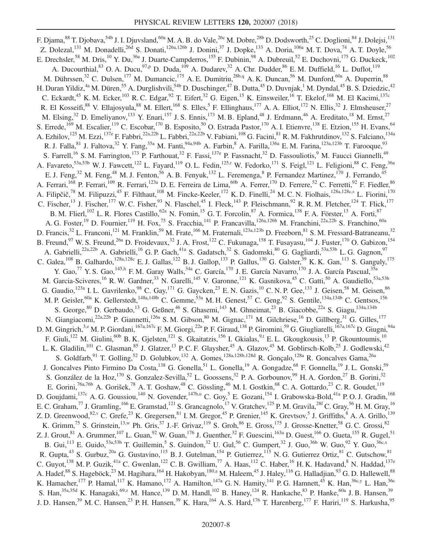F. Djama,  $^{88}$  T. Djobava,  $^{54b}$  J. I. Djuvsland,  $^{60a}$  M. A. B. do Vale,  $^{26c}$  M. Dobre,  $^{28b}$  D. Dodsworth,  $^{25}$  C. Doglioni,  $^{84}$  J. Dolejsi,  $^{131}$ Z. Dolezal,<sup>131</sup> M. Donadelli,<sup>26d</sup> S. Donati,<sup>126a,126b</sup> J. Donini,<sup>37</sup> J. Dopke,<sup>133</sup> A. Doria,<sup>106a</sup> M. T. Dova,<sup>74</sup> A. T. Doyle,<sup>56</sup> E. Drechsler,<sup>58</sup> M. Dris,<sup>10</sup> Y. Du,<sup>36a</sup> J. Duarte-Campderros,<sup>155</sup> F. Dubinin,<sup>98</sup> A. Dubreuil,<sup>52</sup> E. Duchovni,<sup>175</sup> G. Duckeck,<sup>102</sup> A. Ducourthial,<sup>83</sup> O. A. Ducu,<sup>97,p</sup> D. Duda,<sup>109</sup> A. Dudarev,<sup>32</sup> A. Chr. Dudder,<sup>86</sup> E. M. Duffield,<sup>16</sup> L. Duflot,<sup>119</sup> M. Dührssen,<sup>32</sup> C. Dulsen,<sup>177</sup> M. Dumancic,<sup>175</sup> A. E. Dumitriu,<sup>28b,q</sup> A. K. Duncan,<sup>56</sup> M. Dunford,<sup>60a</sup> A. Duperrin,<sup>88</sup> H. Duran Yildiz,<sup>4a</sup> M. Düren,<sup>55</sup> A. Durglishvili,<sup>54b</sup> D. Duschinger,<sup>47</sup> B. Dutta,<sup>45</sup> D. Duvnjak,<sup>1</sup> M. Dyndal,<sup>45</sup> B. S. Dziedzic,<sup>42</sup> C. Eckardt,<sup>45</sup> K. M. Ecker,<sup>103</sup> R. C. Edgar,<sup>92</sup> T. Eifert,<sup>32</sup> G. Eigen,<sup>15</sup> K. Einsweiler,<sup>16</sup> T. Ekelof,<sup>168</sup> M. El Kacimi,<sup>137c</sup> R. El Kosseifi,<sup>88</sup> V. Ellajosyula,<sup>88</sup> M. Ellert,<sup>168</sup> S. Elles,<sup>5</sup> F. Ellinghaus,<sup>177</sup> A. A. Elliot,<sup>172</sup> N. Ellis,<sup>32</sup> J. Elmsheuser,<sup>27</sup> M. Elsing,<sup>32</sup> D. Emeliyanov,<sup>133</sup> Y. Enari,<sup>157</sup> J. S. Ennis,<sup>173</sup> M. B. Epland,<sup>48</sup> J. Erdmann,<sup>46</sup> A. Ereditato,<sup>18</sup> M. Ernst,<sup>27</sup> S. Errede,<sup>169</sup> M. Escalier,<sup>119</sup> C. Escobar,<sup>170</sup> B. Esposito,<sup>50</sup> O. Estrada Pastor,<sup>170</sup> A. I. Etienvre,<sup>138</sup> E. Etzion,<sup>155</sup> H. Evans,<sup>64</sup> A. Ezhilov,<sup>125</sup> M. Ezzi,<sup>137e</sup> F. Fabbri,<sup>22a,22b</sup> L. Fabbri,<sup>22a,22b</sup> V. Fabiani,<sup>108</sup> G. Facini,<sup>81</sup> R. M. Fakhrutdinov,<sup>132</sup> S. Falciano,<sup>134a</sup> R. J. Falla, <sup>81</sup> J. Faltova, <sup>32</sup> Y. Fang, <sup>35a</sup> M. Fanti, <sup>94a, 94b</sup> A. Farbin, <sup>8</sup> A. Farilla, <sup>136a</sup> E. M. Farina, <sup>123a, 123b</sup> T. Farooque, <sup>93</sup> S. Farrell,<sup>16</sup> S. M. Farrington,<sup>173</sup> P. Farthouat,<sup>32</sup> F. Fassi,<sup>137e</sup> P. Fassnacht,<sup>32</sup> D. Fassouliotis,<sup>9</sup> M. Faucci Giannelli,<sup>49</sup> A. Favareto,<sup>53a,53b</sup> W. J. Fawcett,<sup>122</sup> L. Fayard,<sup>119</sup> O. L. Fedin,<sup>125,r</sup> W. Fedorko,<sup>171</sup> S. Feigl,<sup>121</sup> L. Feligioni,<sup>88</sup> C. Feng,<sup>36a</sup> E. J. Feng,<sup>32</sup> M. Feng,<sup>48</sup> M. J. Fenton,<sup>56</sup> A. B. Fenyuk,<sup>132</sup> L. Feremenga, <sup>8</sup> P. Fernandez Martinez,<sup>170</sup> J. Ferrando,<sup>45</sup> A. Ferrari,<sup>168</sup> P. Ferrari,<sup>109</sup> R. Ferrari,<sup>123a</sup> D. E. Ferreira de Lima,<sup>60b</sup> A. Ferrer,<sup>170</sup> D. Ferrere,<sup>52</sup> C. Ferretti,<sup>92</sup> F. Fiedler,<sup>86</sup> A. Filipčič,<sup>78</sup> M. Filipuzzi,<sup>45</sup> F. Filthaut,<sup>108</sup> M. Fincke-Keeler,<sup>172</sup> K.D. Finelli,<sup>24</sup> M.C.N. Fiolhais,<sup>128a,128c,s</sup> L. Fiorini,<sup>170</sup> C. Fischer,<sup>13</sup> J. Fischer,<sup>177</sup> W. C. Fisher,<sup>93</sup> N. Flaschel,<sup>45</sup> I. Fleck,<sup>143</sup> P. Fleischmann,<sup>92</sup> R. R. M. Fletcher,<sup>124</sup> T. Flick,<sup>177</sup> B. M. Flierl,<sup>102</sup> L. R. Flores Castillo,<sup>62a</sup> N. Fomin,<sup>15</sup> G. T. Forcolin,<sup>87</sup> A. Formica,<sup>138</sup> F. A. Förster,<sup>13</sup> A. Forti,<sup>87</sup> A. G. Foster,<sup>19</sup> D. Fournier,<sup>119</sup> H. Fox,<sup>75</sup> S. Fracchia,<sup>141</sup> P. Francavilla,<sup>126a,126b</sup> M. Franchini,<sup>22a,22b</sup> S. Franchino,<sup>60a</sup> D. Francis,<sup>32</sup> L. Franconi,<sup>121</sup> M. Franklin,<sup>59</sup> M. Frate,<sup>166</sup> M. Fraternali,<sup>123a,123b</sup> D. Freeborn,<sup>81</sup> S. M. Fressard-Batraneanu,<sup>32</sup> B. Freund, <sup>97</sup> W. S. Freund, <sup>26a</sup> D. Froidevaux, <sup>32</sup> J. A. Frost, <sup>122</sup> C. Fukunaga, <sup>158</sup> T. Fusayasu, <sup>104</sup> J. Fuster, <sup>170</sup> O. Gabizon, <sup>154</sup> A. Gabrielli,<sup>22a,22b</sup> A. Gabrielli,<sup>16</sup> G. P. Gach,<sup>41a</sup> S. Gadatsch,<sup>32</sup> S. Gadomski,<sup>80</sup> G. Gagliardi,<sup>53a,53b</sup> L. G. Gagnon,<sup>9</sup> C. Galea, <sup>108</sup> B. Galhardo, <sup>128a,128c</sup> E. J. Gallas, <sup>122</sup> B. J. Gallop, <sup>133</sup> P. Gallus, <sup>130</sup> G. Galster, <sup>39</sup> K. K. Gan, <sup>113</sup> S. Ganguly, <sup>175</sup> Y. Gao,<sup>77</sup> Y. S. Gao,<sup>145,h</sup> F. M. Garay Walls,<sup>34a</sup> C. García,<sup>170</sup> J. E. García Navarro,<sup>170</sup> J. A. García Pascual,<sup>35a</sup> M. Garcia-Sciveres,<sup>16</sup> R. W. Gardner,<sup>33</sup> N. Garelli,<sup>145</sup> V. Garonne,<sup>121</sup> K. Gasnikova,<sup>45</sup> C. Gatti,<sup>50</sup> A. Gaudiello,<sup>53a,53b</sup> G. Gaudio,  $^{123a}$  I. L. Gavrilenko,  $^{98}$  C. Gay,  $^{171}$  G. Gaycken,  $^{23}$  E. N. Gazis,  $^{10}$  C. N. P. Gee,  $^{133}$  J. Geisen,  $^{58}$  M. Geisen,  $^{86}$ M. P. Geisler,<sup>60a</sup> K. Gellerstedt,<sup>148a,148b</sup> C. Gemme,<sup>53a</sup> M. H. Genest,<sup>57</sup> C. Geng,<sup>92</sup> S. Gentile,<sup>134a,134b</sup> C. Gentsos,<sup>156</sup> S. George,<sup>80</sup> D. Gerbaudo,<sup>13</sup> G. Geßner,<sup>46</sup> S. Ghasemi,<sup>143</sup> M. Ghneimat,<sup>23</sup> B. Giacobbe,<sup>22a</sup> S. Giagu,<sup>134a,134b</sup> N. Giangiacomi,<sup>22a,22b</sup> P. Giannetti,<sup>126a</sup> S. M. Gibson,<sup>80</sup> M. Gignac,<sup>171</sup> M. Gilchriese,<sup>16</sup> D. Gillberg,<sup>31</sup> G. Gilles,<sup>177</sup> D. M. Gingrich,<sup>3,e</sup> M. P. Giordani,<sup>167a,167c</sup> F. M. Giorgi,<sup>22a</sup> P. F. Giraud,<sup>138</sup> P. Giromini,<sup>59</sup> G. Giugliarelli,<sup>167a,167c</sup> D. Giugni,<sup>94a</sup> F. Giuli,<sup>122</sup> M. Giulini,<sup>60b</sup> B. K. Gjelsten,<sup>121</sup> S. Gkaitatzis,<sup>156</sup> I. Gkialas,<sup>9,t</sup> E. L. Gkougkousis,<sup>13</sup> P. Gkountoumis,<sup>10</sup> L. K. Gladilin,<sup>101</sup> C. Glasman,<sup>85</sup> J. Glatzer,<sup>13</sup> P. C. F. Glaysher,<sup>45</sup> A. Glazov,<sup>45</sup> M. Goblirsch-Kolb,<sup>25</sup> J. Godlewski,<sup>42</sup> S. Goldfarb, <sup>91</sup> T. Golling, <sup>52</sup> D. Golubkov, <sup>132</sup> A. Gomes, <sup>128a,128b,128d</sup> R. Gonçalo, <sup>128a</sup> R. Goncalves Gama, <sup>26a</sup> J. Goncalves Pinto Firmino Da Costa,<sup>138</sup> G. Gonella,<sup>51</sup> L. Gonella,<sup>19</sup> A. Gongadze,<sup>68</sup> F. Gonnella,<sup>19</sup> J. L. Gonski,<sup>59</sup> S. González de la Hoz,<sup>170</sup> S. Gonzalez-Sevilla,<sup>52</sup> L. Goossens,<sup>32</sup> P. A. Gorbounov,<sup>99</sup> H. A. Gordon,<sup>27</sup> B. Gorini,<sup>32</sup> E. Gorini,<sup>76a,76b</sup> A. Gorišek,<sup>78</sup> A. T. Goshaw,<sup>48</sup> C. Gössling,<sup>46</sup> M. I. Gostkin,<sup>68</sup> C. A. Gottardo,<sup>23</sup> C. R. Goudet,<sup>119</sup> D. Goujdami, <sup>137c</sup> A. G. Goussiou, <sup>140</sup> N. Govender, <sup>147b,u</sup> C. Goy, <sup>5</sup> E. Gozani, <sup>154</sup> I. Grabowska-Bold, <sup>41a</sup> P. O. J. Gradin, <sup>168</sup> E. C. Graham,  $^{77}$  J. Gramling,  $^{166}$  E. Gramstad,  $^{121}$  S. Grancagnolo,  $^{17}$  V. Gratchev,  $^{125}$  P. M. Gravila,  $^{28f}$  C. Gray,  $^{56}$  H. M. Gray,  $^{16}$ Z. D. Greenwood,  $82, v$  C. Grefe,  $23$  K. Gregersen,  $81$  I. M. Gregor,  $45$  P. Grenier,  $145$  K. Grevtsov,  $5$  J. Griffiths,  $8$  A. A. Grillo,  $139$ K. Grimm,<sup>75</sup> S. Grinstein,<sup>13,w</sup> Ph. Gris,<sup>37</sup> J.-F. Grivaz,<sup>119</sup> S. Groh,<sup>86</sup> E. Gross,<sup>175</sup> J. Grosse-Knetter,<sup>58</sup> G. C. Grossi,<sup>82</sup> Z. J. Grout, <sup>81</sup> A. Grummer, <sup>107</sup> L. Guan, <sup>92</sup> W. Guan, <sup>176</sup> J. Guenther, <sup>32</sup> F. Guescini, <sup>163a</sup> D. Guest, <sup>166</sup> O. Gueta, <sup>155</sup> R. Gugel, <sup>51</sup> B. Gui,<sup>113</sup> E. Guido,<sup>53a,53b</sup> T. Guillemin,<sup>5</sup> S. Guindon,<sup>32</sup> U. Gul,<sup>56</sup> C. Gumpert,<sup>32</sup> J. Guo,<sup>36b</sup> W. Guo,<sup>92</sup> Y. Guo,<sup>36c,x</sup> R. Gupta,<sup>43</sup> S. Gurbuz,<sup>20a</sup> G. Gustavino,<sup>115</sup> B. J. Gutelman,<sup>154</sup> P. Gutierrez,<sup>115</sup> N. G. Gutierrez Ortiz,<sup>81</sup> C. Gutschow,<sup>81</sup> C. Guyot,<sup>138</sup> M. P. Guzik,<sup>41a</sup> C. Gwenlan,<sup>122</sup> C. B. Gwilliam,<sup>77</sup> A. Haas,<sup>112</sup> C. Haber,<sup>16</sup> H. K. Hadavand,<sup>8</sup> N. Haddad,<sup>137e</sup> A. Hadef,<sup>88</sup> S. Hageböck,<sup>23</sup> M. Hagihara,<sup>164</sup> H. Hakobyan,<sup>180,a</sup> M. Haleem,<sup>45</sup> J. Haley,<sup>116</sup> G. Halladjian,<sup>93</sup> G. D. Hallewell,<sup>88</sup> K. Hamacher,<sup>177</sup> P. Hamal,<sup>117</sup> K. Hamano,<sup>172</sup> A. Hamilton,<sup>147a</sup> G. N. Hamity,<sup>141</sup> P. G. Hamnett,<sup>45</sup> K. Han,<sup>36c,y</sup> L. Han,<sup>36c</sup> S. Han,<sup>35a,35d</sup> K. Hanagaki,<sup>69,z</sup> M. Hance,<sup>139</sup> D. M. Handl,<sup>102</sup> B. Haney,<sup>124</sup> R. Hankache,<sup>83</sup> P. Hanke,<sup>60a</sup> J. B. Hansen,<sup>39</sup> J. D. Hansen,<sup>39</sup> M. C. Hansen,<sup>23</sup> P. H. Hansen,<sup>39</sup> K. Hara,<sup>164</sup> A. S. Hard,<sup>176</sup> T. Harenberg,<sup>177</sup> F. Hariri,<sup>119</sup> S. Harkusha,<sup>95</sup>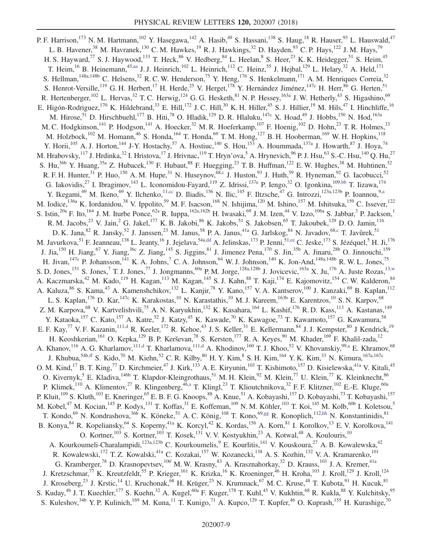P. F. Harrison,<sup>173</sup> N. M. Hartmann,<sup>102</sup> Y. Hasegawa,<sup>142</sup> A. Hasib,<sup>49</sup> S. Hassani,<sup>138</sup> S. Haug,<sup>18</sup> R. Hauser,<sup>93</sup> L. Hauswald,<sup>47</sup> L. B. Havener,<sup>38</sup> M. Havranek,<sup>130</sup> C. M. Hawkes,<sup>19</sup> R. J. Hawkings,<sup>32</sup> D. Hayden,<sup>93</sup> C. P. Hays,<sup>122</sup> J. M. Hays,<sup>79</sup> H. S. Hayward,<sup>77</sup> S. J. Haywood,<sup>133</sup> T. Heck,<sup>86</sup> V. Hedberg,<sup>84</sup> L. Heelan,<sup>8</sup> S. Heer,<sup>23</sup> K. K. Heidegger,<sup>51</sup> S. Heim,<sup>45</sup> T. Heim,<sup>16</sup> B. Heinemann,<sup>45,aa</sup> J. J. Heinrich,<sup>102</sup> L. Heinrich,<sup>112</sup> C. Heinz,<sup>55</sup> J. Hejbal,<sup>129</sup> L. Helary,<sup>32</sup> A. Held,<sup>171</sup> S. Hellman,  $^{148a,148b}$  C. Helsens,  $^{32}$  R. C. W. Henderson,  $^{75}$  Y. Heng,  $^{176}$  S. Henkelmann,  $^{171}$  A. M. Henriques Correia,  $^{32}$ S. Henrot-Versille,<sup>119</sup> G. H. Herbert,<sup>17</sup> H. Herde,<sup>25</sup> V. Herget,<sup>178</sup> Y. Hernández Jiménez,<sup>147c</sup> H. Herr,<sup>86</sup> G. Herten,<sup>51</sup> R. Hertenberger,<sup>102</sup> L. Hervas,<sup>32</sup> T. C. Herwig,<sup>124</sup> G. G. Hesketh,<sup>81</sup> N. P. Hessey,<sup>163a</sup> J. W. Hetherly,<sup>43</sup> S. Higashino,<sup>69</sup> E. Higón-Rodriguez,<sup>170</sup> K. Hildebrand,<sup>33</sup> E. Hill,<sup>172</sup> J. C. Hill,<sup>30</sup> K. H. Hiller,<sup>45</sup> S. J. Hillier,<sup>19</sup> M. Hils,<sup>47</sup> I. Hinchliffe,<sup>16</sup> M. Hirose,<sup>51</sup> D. Hirschbuehl,<sup>177</sup> B. Hiti,<sup>78</sup> O. Hladik,<sup>129</sup> D. R. Hlaluku,<sup>147c</sup> X. Hoad,<sup>49</sup> J. Hobbs,<sup>150</sup> N. Hod,<sup>163a</sup> M. C. Hodgkinson,<sup>141</sup> P. Hodgson,<sup>141</sup> A. Hoecker,<sup>32</sup> M. R. Hoeferkamp,<sup>107</sup> F. Hoenig,<sup>102</sup> D. Hohn,<sup>23</sup> T. R. Holmes,<sup>33</sup> M. Holzbock,<sup>102</sup> M. Homann,<sup>46</sup> S. Honda,<sup>164</sup> T. Honda,<sup>69</sup> T. M. Hong,<sup>127</sup> B. H. Hooberman,<sup>169</sup> W. H. Hopkins,<sup>118</sup> Y. Horii,<sup>105</sup> A. J. Horton,<sup>144</sup> J-Y. Hostachy,<sup>57</sup> A. Hostiuc,<sup>140</sup> S. Hou,<sup>153</sup> A. Hoummada,<sup>137a</sup> J. Howarth,<sup>87</sup> J. Hoya,<sup>74</sup> M. Hrabovsky,  $^{117}$  J. Hrdinka,  $^{32}$  I. Hristova,  $^{17}$  J. Hrivnac,  $^{119}$  T. Hryn'ova,  $^5$  A. Hrynevich,  $^{96}$  P. J. Hsu,  $^{63}$  S.-C. Hsu,  $^{140}$  Q. Hu,  $^{27}$ S. Hu,<sup>36b</sup> Y. Huang,<sup>35a</sup> Z. Hubacek,<sup>130</sup> F. Hubaut,<sup>88</sup> F. Huegging,<sup>23</sup> T. B. Huffman,<sup>122</sup> E. W. Hughes,<sup>38</sup> M. Huhtinen,<sup>32</sup> R. F. H. Hunter,<sup>31</sup> P. Huo,<sup>150</sup> A. M. Hupe,<sup>31</sup> N. Huseynov,<sup>68,c</sup> J. Huston,<sup>93</sup> J. Huth,<sup>59</sup> R. Hyneman,<sup>92</sup> G. Iacobucci,<sup>52</sup> G. Iakovidis,<sup>27</sup> I. Ibragimov,<sup>143</sup> L. Iconomidou-Fayard,<sup>119</sup> Z. Idrissi,<sup>137e</sup> P. Iengo,<sup>32</sup> O. Igonkina,<sup>109,bb</sup> T. Iizawa,<sup>174</sup> Y. Ikegami,<sup>69</sup> M. Ikeno,<sup>69</sup> Y. Ilchenko,<sup>11,cc</sup> D. Iliadis,<sup>156</sup> N. Ilic,<sup>145</sup> F. Iltzsche,<sup>47</sup> G. Introzzi,<sup>123a,123b</sup> P. Ioannou,<sup>9,a</sup> M. Iodice,<sup>136a</sup> K. Iordanidou,<sup>38</sup> V. Ippolito,<sup>59</sup> M. F. Isacson,<sup>168</sup> N. Ishijima,<sup>120</sup> M. Ishino,<sup>157</sup> M. Ishitsuka,<sup>159</sup> C. Issever,<sup>122</sup> S. Istin,<sup>20a</sup> F. Ito,<sup>164</sup> J. M. Iturbe Ponce,<sup>62a</sup> R. Iuppa,<sup>162a,162b</sup> H. Iwasaki,<sup>69</sup> J. M. Izen,<sup>44</sup> V. Izzo,<sup>106a</sup> S. Jabbar,<sup>3</sup> P. Jackson,<sup>1</sup> R. M. Jacobs,  $^{23}$  V. Jain,  $^{2}$  G. Jakel,  $^{177}$  K. B. Jakobi,  $^{86}$  K. Jakobs,  $^{51}$  S. Jakobsen,  $^{65}$  T. Jakoubek,  $^{129}$  D. O. Jamin,  $^{116}$ D. K. Jana,<sup>82</sup> R. Jansky,<sup>52</sup> J. Janssen,<sup>23</sup> M. Janus,<sup>58</sup> P. A. Janus,<sup>41a</sup> G. Jarlskog,<sup>84</sup> N. Javadov,<sup>68,c</sup> T. Javůrek,<sup>51</sup> M. Javurkova, <sup>51</sup> F. Jeanneau, <sup>138</sup> L. Jeanty, <sup>16</sup> J. Jejelava, <sup>54a,dd</sup> A. Jelinskas, <sup>173</sup> P. Jenni, <sup>51,ee</sup> C. Jeske, <sup>173</sup> S. Jézéquel, 5 H. Ji, <sup>176</sup> J. Jia,<sup>150</sup> H. Jiang,<sup>67</sup> Y. Jiang,<sup>36c</sup> Z. Jiang,<sup>145</sup> S. Jiggins,<sup>81</sup> J. Jimenez Pena,<sup>170</sup> S. Jin,<sup>35b</sup> A. Jinaru,<sup>28b</sup> O. Jinnouchi,<sup>159</sup> H. Jivan,<sup>147c</sup> P. Johansson,<sup>141</sup> K. A. Johns,<sup>7</sup> C. A. Johnson,<sup>64</sup> W. J. Johnson,<sup>140</sup> K. Jon-And,<sup>148a,148b</sup> R. W. L. Jones,<sup>75</sup> S. D. Jones,<sup>151</sup> S. Jones,<sup>7</sup> T. J. Jones,<sup>77</sup> J. Jongmanns,<sup>60a</sup> P. M. Jorge,<sup>128a,128b</sup> J. Jovicevic,<sup>163a</sup> X. Ju,<sup>176</sup> A. Juste Rozas,<sup>13,w</sup> A. Kaczmarska,<sup>42</sup> M. Kado,<sup>119</sup> H. Kagan,<sup>113</sup> M. Kagan,<sup>145</sup> S. J. Kahn,<sup>88</sup> T. Kaji,<sup>174</sup> E. Kajomovitz,<sup>154</sup> C. W. Kalderon,<sup>84</sup> A. Kaluza, <sup>86</sup> S. Kama, <sup>43</sup> A. Kamenshchikov, <sup>132</sup> L. Kanjir, <sup>78</sup> Y. Kano, <sup>157</sup> V. A. Kantserov, <sup>100</sup> J. Kanzaki, <sup>69</sup> B. Kaplan, <sup>112</sup> L. S. Kaplan,<sup>176</sup> D. Kar,<sup>147c</sup> K. Karakostas,<sup>10</sup> N. Karastathis,<sup>10</sup> M. J. Kareem,<sup>163b</sup> E. Karentzos,<sup>10</sup> S. N. Karpov,<sup>68</sup> Z. M. Karpova,<sup>68</sup> V. Kartvelishvili,<sup>75</sup> A. N. Karyukhin,<sup>132</sup> K. Kasahara,<sup>164</sup> L. Kashif,<sup>176</sup> R. D. Kass,<sup>113</sup> A. Kastanas,<sup>149</sup> Y. Kataoka, <sup>157</sup> C. Kato, <sup>157</sup> A. Katre, <sup>52</sup> J. Katzy, <sup>45</sup> K. Kawade, <sup>70</sup> K. Kawagoe, <sup>73</sup> T. Kawamoto, <sup>157</sup> G. Kawamura, <sup>58</sup> E. F. Kay,<sup>77</sup> V. F. Kazanin,<sup>111,d</sup> R. Keeler,<sup>172</sup> R. Kehoe,<sup>43</sup> J. S. Keller,<sup>31</sup> E. Kellermann,<sup>84</sup> J. J. Kempster,<sup>80</sup> J Kendrick,<sup>19</sup> H. Keoshkerian, <sup>161</sup> O. Kepka, <sup>129</sup> B. P. Kerševan, <sup>78</sup> S. Kersten, <sup>177</sup> R. A. Keyes, <sup>90</sup> M. Khader, <sup>169</sup> F. Khalil-zada, <sup>12</sup> A. Khanov, <sup>116</sup> A. G. Kharlamov, <sup>111,d</sup> T. Kharlamova, <sup>111,d</sup> A. Khodinov, <sup>160</sup> T. J. Khoo, <sup>52</sup> V. Khovanskiy, <sup>99,a</sup> E. Khramov, <sup>68</sup> J. Khubua,<sup>54b,ff</sup> S. Kido,<sup>70</sup> M. Kiehn,<sup>52</sup> C. R. Kilby,<sup>80</sup> H. Y. Kim,<sup>8</sup> S. H. Kim,<sup>164</sup> Y. K. Kim,<sup>33</sup> N. Kimura,<sup>167a,167c</sup> O. M. Kind,<sup>17</sup> B. T. King,<sup>77</sup> D. Kirchmeier,<sup>47</sup> J. Kirk,<sup>133</sup> A. E. Kiryunin,<sup>103</sup> T. Kishimoto,<sup>157</sup> D. Kisielewska,<sup>41a</sup> V. Kitali,<sup>45</sup> O. Kivernyk,<sup>5</sup> E. Kladiva,<sup>146b</sup> T. Klapdor-Kleingrothaus,<sup>51</sup> M. H. Klein,<sup>92</sup> M. Klein,<sup>77</sup> U. Klein,<sup>77</sup> K. Kleinknecht,<sup>86</sup> P. Klimek,<sup>110</sup> A. Klimentov,<sup>27</sup> R. Klingenberg,<sup>46,a</sup> T. Klingl,<sup>23</sup> T. Klioutchnikova,<sup>32</sup> F. F. Klitzner,<sup>102</sup> E.-E. Kluge,<sup>60a</sup> P. Kluit,<sup>109</sup> S. Kluth,<sup>103</sup> E. Kneringer,<sup>65</sup> E. B. F. G. Knoops,<sup>88</sup> A. Knue,<sup>51</sup> A. Kobayashi,<sup>157</sup> D. Kobayashi,<sup>73</sup> T. Kobayashi,<sup>157</sup> M. Kobel,<sup>47</sup> M. Kocian,<sup>145</sup> P. Kodys,<sup>131</sup> T. Koffas,<sup>31</sup> E. Koffeman,<sup>109</sup> N. M. Köhler,<sup>103</sup> T. Koi,<sup>145</sup> M. Kolb,<sup>60b</sup> I. Koletsou,<sup>5</sup> T. Kondo,<sup>69</sup> N. Kondrashova,<sup>36b</sup> K. Köneke,<sup>51</sup> A. C. König,<sup>108</sup> T. Kono,<sup>69,gg</sup> R. Konoplich,<sup>112,hh</sup> N. Konstantinidis,<sup>81</sup> B. Konya,<sup>84</sup> R. Kopeliansky,<sup>64</sup> S. Koperny,<sup>41a</sup> K. Korcyl,<sup>42</sup> K. Kordas,<sup>156</sup> A. Korn,<sup>81</sup> I. Korolkov,<sup>13</sup> E. V. Korolkova,<sup>141</sup> O. Kortner,  $^{103}$  S. Kortner,  $^{103}$  T. Kosek,  $^{131}$  V. V. Kostyukhin,  $^{23}$  A. Kotwal,  $^{48}$  A. Koulouris,  $^{10}$ A. Kourkoumeli-Charalampidi, <sup>123a,123b</sup> C. Kourkoumelis, <sup>9</sup> E. Kourlitis, <sup>141</sup> V. Kouskoura, <sup>27</sup> A. B. Kowalewska, <sup>42</sup> R. Kowalewski,<sup>172</sup> T. Z. Kowalski,<sup>41a</sup> C. Kozakai,<sup>157</sup> W. Kozanecki,<sup>138</sup> A. S. Kozhin,<sup>132</sup> V. A. Kramarenko,<sup>101</sup> G. Kramberger,<sup>78</sup> D. Krasnopevtsev,<sup>100</sup> M. W. Krasny,<sup>83</sup> A. Krasznahorkay,<sup>32</sup> D. Krauss,<sup>103</sup> J. A. Kremer,<sup>41a</sup> J. Kretzschmar,<sup>77</sup> K. Kreutzfeldt,<sup>55</sup> P. Krieger,<sup>161</sup> K. Krizka,<sup>16</sup> K. Kroeninger,<sup>46</sup> H. Kroha,<sup>103</sup> J. Kroll,<sup>129</sup> J. Kroll,<sup>124</sup> J. Kroseberg,<sup>23</sup> J. Krstic,<sup>14</sup> U. Kruchonak,<sup>68</sup> H. Krüger,<sup>23</sup> N. Krumnack,<sup>67</sup> M. C. Kruse,<sup>48</sup> T. Kubota,<sup>91</sup> H. Kucuk,<sup>81</sup> S. Kuday,<sup>4b</sup> J. T. Kuechler,<sup>177</sup> S. Kuehn,<sup>32</sup> A. Kugel,<sup>60a</sup> F. Kuger,<sup>178</sup> T. Kuhl,<sup>45</sup> V. Kukhtin,<sup>68</sup> R. Kukla,<sup>88</sup> Y. Kulchitsky,<sup>95</sup> S. Kuleshov,<sup>34b</sup> Y. P. Kulinich,<sup>169</sup> M. Kuna,<sup>11</sup> T. Kunigo,<sup>71</sup> A. Kupco,<sup>129</sup> T. Kupfer,<sup>46</sup> O. Kuprash,<sup>155</sup> H. Kurashige,<sup>70</sup>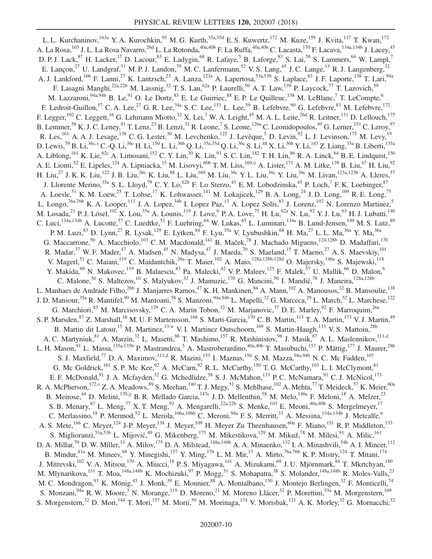L. L. Kurchaninov, <sup>163a</sup> Y. A. Kurochkin, <sup>95</sup> M. G. Kurth, <sup>35a, 35d</sup> E. S. Kuwertz, <sup>172</sup> M. Kuze, <sup>159</sup> J. Kvita, <sup>117</sup> T. Kwan, <sup>172</sup> A. La Rosa, $^{103}$  J. L. La Rosa Navarro, $^{26d}$  L. La Rotonda, $^{40a,40b}$  F. La Ruffa, $^{40a,40b}$  C. Lacasta, $^{170}$  F. Lacava, $^{134a,134b}$  J. Lacey, $^{45}$ D. P. J. Lack,<sup>87</sup> H. Lacker,<sup>17</sup> D. Lacour,<sup>83</sup> E. Ladygin,<sup>68</sup> R. Lafaye,<sup>5</sup> B. Laforge,<sup>83</sup> S. Lai,<sup>58</sup> S. Lammers,<sup>64</sup> W. Lampl,<sup>7</sup> E. Lançon,<sup>27</sup> U. Landgraf,<sup>51</sup> M. P. J. Landon,<sup>79</sup> M. C. Lanfermann,<sup>52</sup> V. S. Lang,<sup>45</sup> J. C. Lange,<sup>13</sup> R. J. Langenberg,<sup>32</sup> A. J. Lankford,<sup>166</sup> F. Lanni,<sup>27</sup> K. Lantzsch,<sup>23</sup> A. Lanza,<sup>123a</sup> A. Lapertosa,<sup>53a,53b</sup> S. Laplace,<sup>83</sup> J. F. Laporte,<sup>138</sup> T. Lari,<sup>94a</sup> F. Lasagni Manghi,<sup>22a,22b</sup> M. Lassnig,<sup>32</sup> T. S. Lau,<sup>62a</sup> P. Laurelli,<sup>50</sup> A. T. Law,<sup>139</sup> P. Laycock,<sup>77</sup> T. Lazovich,<sup>59</sup> M. Lazzaroni,<sup>94a,94b</sup> B. Le,<sup>91</sup> O. Le Dortz,<sup>83</sup> E. Le Guirriec,<sup>88</sup> E. P. Le Quilleuc,<sup>138</sup> M. LeBlanc,<sup>7</sup> T. LeCompte,<sup>6</sup> F. Ledroit-Guillon,<sup>57</sup> C. A. Lee,<sup>27</sup> G. R. Lee,<sup>34a</sup> S. C. Lee,<sup>153</sup> L. Lee,<sup>59</sup> B. Lefebvre,<sup>90</sup> G. Lefebvre,<sup>83</sup> M. Lefebvre,<sup>172</sup> F. Legger,<sup>102</sup> C. Leggett,<sup>16</sup> G. Lehmann Miotto,<sup>32</sup> X. Lei,<sup>7</sup> W. A. Leight,<sup>45</sup> M. A. L. Leite,<sup>26d</sup> R. Leitner,<sup>131</sup> D. Lellouch,<sup>175</sup> B. Lemmer, <sup>58</sup> K. J. C. Leney, <sup>81</sup> T. Lenz, <sup>23</sup> B. Lenzi, <sup>32</sup> R. Leone, <sup>7</sup> S. Leone, <sup>126a</sup> C. Leonidopoulos, <sup>49</sup> G. Lerner, <sup>151</sup> C. Leroy, <sup>97</sup> R. Les,<sup>161</sup> A. A. J. Lesage,<sup>138</sup> C. G. Lester,<sup>30</sup> M. Levchenko,<sup>125</sup> J. Levêque,<sup>5</sup> D. Levin,<sup>92</sup> L. J. Levinson,<sup>175</sup> M. Levy,<sup>19</sup> D. Lewis,<sup>79</sup> B. Li,<sup>36c,x</sup> C.-Q. Li,<sup>36c</sup> H. Li,<sup>150</sup> L. Li,<sup>36b</sup> Q. Li,<sup>35a,35d</sup> Q. Li,<sup>36c</sup> S. Li,<sup>48</sup> X. Li,<sup>36b</sup> Y. Li,<sup>143</sup> Z. Liang,<sup>35a</sup> B. Liberti,<sup>135a</sup> A. Liblong,  $^{161}$  K. Lie,  $^{62c}$  A. Limosani,  $^{152}$  C. Y. Lin,  $^{30}$  K. Lin,  $^{93}$  S. C. Lin,  $^{182}$  T. H. Lin,  $^{86}$  R. A. Linck,  $^{64}$  B. E. Lindquist,  $^{150}$ A. E. Lionti,<sup>52</sup> E. Lipeles,<sup>124</sup> A. Lipniacka,<sup>15</sup> M. Lisovyi,<sup>60b</sup> T. M. Liss,<sup>169,ii</sup> A. Lister,<sup>171</sup> A. M. Litke,<sup>139</sup> B. Liu,<sup>67</sup> H. Liu,<sup>92</sup> H. Liu,<sup>27</sup> J. K. K. Liu,<sup>122</sup> J. B. Liu,<sup>36c</sup> K. Liu,<sup>88</sup> L. Liu,<sup>169</sup> M. Liu,<sup>36c</sup> Y. L. Liu,<sup>36c</sup> Y. Liu,<sup>36c</sup> M. Livan,<sup>123a,123b</sup> A. Lleres,<sup>57</sup> J. Llorente Merino,  $35a$  S. L. Lloyd,  $79$  C. Y. Lo,  $62b$  F. Lo Sterzo,  $43$  E. M. Lobodzinska,  $45$  P. Loch,  $7$  F. K. Loebinger,  $87$ A. Loesle,<sup>51</sup> K. M. Loew,<sup>25</sup> T. Lohse,<sup>17</sup> K. Lohwasser,<sup>141</sup> M. Lokajicek,<sup>129</sup> B. A. Long,<sup>24</sup> J. D. Long,<sup>169</sup> R. E. Long,<sup>75</sup> L. Longo,<sup>76a,76b</sup> K. A. Looper,<sup>113</sup> J. A. Lopez,<sup>34b</sup> I. Lopez Paz,<sup>13</sup> A. Lopez Solis,<sup>83</sup> J. Lorenz,<sup>102</sup> N. Lorenzo Martinez, M. Losada,  $^{21}$  P. J. Lösel,  $^{102}$  X. Lou,  $^{35a}$  A. Lounis,  $^{119}$  J. Love,  $^6$  P. A. Love,  $^{75}$  H. Lu,  $^{62}$  N. Lu,  $^{92}$  Y. J. Lu,  $^{63}$  H. J. Lubatti,  $^{140}$ C. Luci,<sup>134a,134b</sup> A. Lucotte,<sup>57</sup> C. Luedtke,<sup>51</sup> F. Luehring,<sup>64</sup> W. Lukas,<sup>65</sup> L. Luminari,<sup>134a</sup> B. Lund-Jensen,<sup>149</sup> M. S. Lutz,<sup>89</sup> P. M. Luzi,<sup>83</sup> D. Lynn,<sup>27</sup> R. Lysak,<sup>129</sup> E. Lytken,<sup>84</sup> F. Lyu,<sup>35a</sup> V. Lyubushkin,<sup>68</sup> H. Ma,<sup>27</sup> L. L. Ma,<sup>36a</sup> Y. Ma,<sup>36a</sup> G. Maccarrone,<sup>50</sup> A. Macchiolo,<sup>103</sup> C. M. Macdonald,<sup>141</sup> B. Maček,<sup>78</sup> J. Machado Miguens,<sup>124,128b</sup> D. Madaffari,<sup>170</sup> R. Madar,<sup>37</sup> W. F. Mader,<sup>47</sup> A. Madsen,<sup>45</sup> N. Madysa,<sup>47</sup> J. Maeda,<sup>70</sup> S. Maeland,<sup>15</sup> T. Maeno,<sup>27</sup> A. S. Maevskiy,<sup>101</sup> V. Magerl,<sup>51</sup> C. Maiani,<sup>119</sup> C. Maidantchik,<sup>26a</sup> T. Maier,<sup>102</sup> A. Maio,<sup>128a,128b,128d</sup> O. Majersky,<sup>146a</sup> S. Majewski,<sup>118</sup> Y. Makida,<sup>69</sup> N. Makovec,<sup>119</sup> B. Malaescu,<sup>83</sup> Pa. Malecki,<sup>42</sup> V. P. Maleev,<sup>125</sup> F. Malek,<sup>57</sup> U. Mallik,<sup>66</sup> D. Malon,<sup>6</sup> C. Malone,<sup>30</sup> S. Maltezos,<sup>10</sup> S. Malyukov,<sup>32</sup> J. Mamuzic,<sup>170</sup> G. Mancini,<sup>50</sup> I. Mandić,<sup>78</sup> J. Maneira,<sup>128a,128b</sup> L. Manhaes de Andrade Filho,<sup>26b</sup> J. Manjarres Ramos,<sup>47</sup> K. H. Mankinen,<sup>84</sup> A. Mann,<sup>102</sup> A. Manousos,<sup>32</sup> B. Mansoulie,<sup>138</sup> J. D. Mansour,<sup>35a</sup> R. Mantifel,<sup>90</sup> M. Mantoani,<sup>58</sup> S. Manzoni,<sup>94a,94b</sup> L. Mapelli,<sup>32</sup> G. Marceca,<sup>29</sup> L. March,<sup>52</sup> L. Marchese,<sup>122</sup> G. Marchiori, $83$  M. Marcisovsky,<sup>129</sup> C. A. Marin Tobon,<sup>32</sup> M. Marjanovic,<sup>37</sup> D. E. Marley,<sup>92</sup> F. Marroquim,<sup>26a</sup> S. P. Marsden, <sup>87</sup> Z. Marshall, <sup>16</sup> M. U. F Martensson, <sup>168</sup> S. Marti-Garcia, <sup>170</sup> C. B. Martin, <sup>113</sup> T. A. Martin, <sup>173</sup> V. J. Martin, <sup>49</sup> B. Martin dit Latour,<sup>15</sup> M. Martinez,<sup>13,w</sup> V. I. Martinez Outschoorn,<sup>169</sup> S. Martin-Haugh,<sup>133</sup> V. S. Martoiu,<sup>28b</sup> A. C. Martyniuk,  ${}^{81}$  A. Marzin,  ${}^{32}$  L. Masetti,  ${}^{86}$  T. Mashimo,  ${}^{157}$  R. Mashinistov,  ${}^{98}$  J. Masik,  ${}^{87}$  A. L. Maslennikov,  ${}^{111, d}$ L. H. Mason,  $91$  L. Massa,  $135a,135b$  P. Mastrandrea,  $5$  A. Mastroberardino,  $40a,40b$  T. Masubuchi,  $157$  P. Mättig,  $177$  J. Maurer,  $28b$ S. J. Maxfield,<sup>77</sup> D. A. Maximov,<sup>111,d</sup> R. Mazini,<sup>153</sup> I. Maznas,<sup>156</sup> S. M. Mazza,<sup>94a,94b</sup> N. C. Mc Fadden,<sup>107</sup> G. Mc Goldrick,<sup>161</sup> S. P. Mc Kee,<sup>92</sup> A. McCarn,<sup>92</sup> R. L. McCarthy,<sup>150</sup> T. G. McCarthy,<sup>103</sup> L. I. McClymont,<sup>81</sup> E. F. McDonald, <sup>91</sup> J. A. Mcfayden, <sup>32</sup> G. Mchedlidze, <sup>58</sup> S. J. McMahon, <sup>133</sup> P. C. McNamara, <sup>91</sup> C. J. McNicol, <sup>173</sup> R. A. McPherson,<sup>172,o</sup> Z. A. Meadows,<sup>89</sup> S. Meehan,<sup>140</sup> T. J. Megy,<sup>51</sup> S. Mehlhase,<sup>102</sup> A. Mehta,<sup>77</sup> T. Meideck,<sup>57</sup> K. Meier,<sup>60a</sup> B. Meirose,<sup>44</sup> D. Melini,<sup>170,jj</sup> B. R. Mellado Garcia,<sup>147c</sup> J. D. Mellenthin,<sup>58</sup> M. Melo,<sup>146a</sup> F. Meloni,<sup>18</sup> A. Melzer,<sup>23</sup> S. B. Menary,  $87$  L. Meng,  $77$  X. T. Meng,  $92$  A. Mengarelli,  $22a,22b$  S. Menke,  $103$  E. Meoni,  $40a,40b$  S. Mergelmeyer,  $17$ C. Merlassino,<sup>18</sup> P. Mermod,<sup>52</sup> L. Merola,<sup>106a,106b</sup> C. Meroni,<sup>94a</sup> F. S. Merritt,<sup>33</sup> A. Messina,<sup>134a,134b</sup> J. Metcalfe,<sup>6</sup> A. S. Mete,<sup>166</sup> C. Meyer,<sup>124</sup> J-P. Meyer,<sup>138</sup> J. Meyer,<sup>109</sup> H. Meyer Zu Theenhausen,<sup>60a</sup> F. Miano,<sup>151</sup> R. P. Middleton,<sup>133</sup> S. Miglioranzi,<sup>53a,53b</sup> L. Mijović,<sup>49</sup> G. Mikenberg,<sup>175</sup> M. Mikestikova,<sup>129</sup> M. Mikuž,<sup>78</sup> M. Milesi,<sup>91</sup> A. Milic,<sup>161</sup> D. A. Millar,<sup>79</sup> D. W. Miller,<sup>33</sup> A. Milov,<sup>175</sup> D. A. Milstead,<sup>148a,148b</sup> A. A. Minaenko,<sup>132</sup> I. A. Minashvili,<sup>54b</sup> A. I. Mincer,<sup>112</sup> B. Mindur,<sup>41a</sup> M. Mineev,<sup>68</sup> Y. Minegishi,<sup>157</sup> Y. Ming,<sup>176</sup> L. M. Mir,<sup>13</sup> A. Mirto,<sup>76a,76b</sup> K. P. Mistry,<sup>124</sup> T. Mitani,<sup>174</sup> J. Mitrevski,<sup>102</sup> V. A. Mitsou,<sup>170</sup> A. Miucci,<sup>18</sup> P. S. Miyagawa,<sup>141</sup> A. Mizukami,<sup>69</sup> J. U. Mjörnmark,<sup>84</sup> T. Mkrtchyan,<sup>180</sup> M. Mlynarikova, <sup>131</sup> T. Moa, <sup>148a, 148b</sup> K. Mochizuki, <sup>97</sup> P. Mogg, <sup>51</sup> S. Mohapatra, <sup>38</sup> S. Molander, <sup>148a, 148b</sup> R. Moles-Valls, <sup>23</sup> M. C. Mondragon,<sup>93</sup> K. Mönig,<sup>45</sup> J. Monk,<sup>39</sup> E. Monnier,<sup>88</sup> A. Montalbano,<sup>150</sup> J. Montejo Berlingen,<sup>32</sup> F. Monticelli,<sup>74</sup> S. Monzani,<sup>94a</sup> R. W. Moore,<sup>3</sup> N. Morange,<sup>119</sup> D. Moreno,<sup>21</sup> M. Moreno Llácer,<sup>32</sup> P. Morettini,<sup>53a</sup> M. Morgenstern,<sup>109</sup> S. Morgenstern,<sup>32</sup> D. Mori,<sup>144</sup> T. Mori,<sup>157</sup> M. Morii,<sup>59</sup> M. Morinaga,<sup>174</sup> V. Morisbak,<sup>121</sup> A. K. Morley,<sup>32</sup> G. Mornacchi,<sup>32</sup>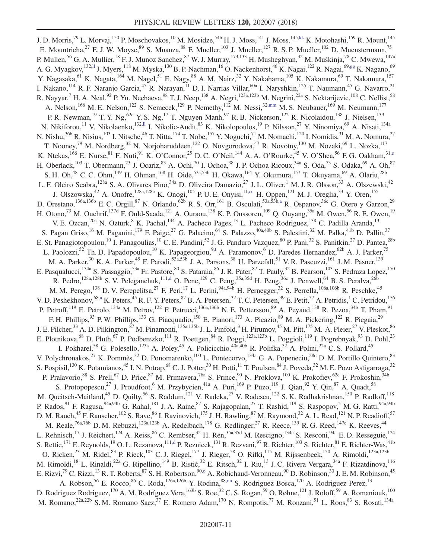J. D. Morris,<sup>79</sup> L. Morvaj,<sup>150</sup> P. Moschovakos,<sup>10</sup> M. Mosidze,<sup>54b</sup> H. J. Moss,<sup>141</sup> J. Moss,<sup>145,kk</sup> K. Motohashi,<sup>159</sup> R. Mount,<sup>145</sup> E. Mountricha,<sup>27</sup> E. J. W. Moyse,<sup>89</sup> S. Muanza,<sup>88</sup> F. Mueller,<sup>103</sup> J. Mueller,<sup>127</sup> R. S. P. Mueller,<sup>102</sup> D. Muenstermann,<sup>75</sup> P. Mullen,<sup>56</sup> G. A. Mullier,<sup>18</sup> F. J. Munoz Sanchez,<sup>87</sup> W. J. Murray,<sup>173,133</sup> H. Musheghyan,<sup>32</sup> M. Muškinja,<sup>78</sup> C. Mwewa,<sup>147a</sup> A. G. Myagkov,<sup>132,ll</sup> J. Myers,<sup>118</sup> M. Myska,<sup>130</sup> B. P. Nachman,<sup>16</sup> O. Nackenhorst,<sup>46</sup> K. Nagai,<sup>122</sup> R. Nagai,<sup>69,gg</sup> K. Nagano,<sup>69</sup> Y. Nagasaka,<sup>61</sup> K. Nagata,<sup>164</sup> M. Nagel,<sup>51</sup> E. Nagy,<sup>88</sup> A. M. Nairz,<sup>32</sup> Y. Nakahama,<sup>105</sup> K. Nakamura,<sup>69</sup> T. Nakamura,<sup>157</sup> I. Nakano,<sup>114</sup> R. F. Naranjo Garcia,<sup>45</sup> R. Narayan,<sup>11</sup> D. I. Narrias Villar,<sup>60a</sup> I. Naryshkin,<sup>125</sup> T. Naumann,<sup>45</sup> G. Navarro,<sup>21</sup> R. Nayyar,<sup>7</sup> H. A. Neal,<sup>92</sup> P. Yu. Nechaeva,<sup>98</sup> T. J. Neep,<sup>138</sup> A. Negri,<sup>123a,123b</sup> M. Negrini,<sup>22a</sup> S. Nektarijevic,<sup>108</sup> C. Nellist,<sup>58</sup> A. Nelson,<sup>166</sup> M. E. Nelson,<sup>122</sup> S. Nemecek,<sup>129</sup> P. Nemethy,<sup>112</sup> M. Nessi,<sup>32,mm</sup> M. S. Neubauer,<sup>169</sup> M. Neumann,<sup>177</sup> P. R. Newman,<sup>19</sup> T. Y. Ng,<sup>62c</sup> Y. S. Ng,<sup>17</sup> T. Nguyen Manh,<sup>97</sup> R. B. Nickerson,<sup>122</sup> R. Nicolaidou,<sup>138</sup> J. Nielsen,<sup>139</sup> N. Nikiforou,<sup>11</sup> V. Nikolaenko,<sup>132,||</sup> I. Nikolic-Audit,<sup>83</sup> K. Nikolopoulos,<sup>19</sup> P. Nilsson,<sup>27</sup> Y. Ninomiya,<sup>69</sup> A. Nisati,<sup>134a</sup> N. Nishu,<sup>36b</sup> R. Nisius,<sup>103</sup> I. Nitsche,<sup>46</sup> T. Nitta,<sup>174</sup> T. Nobe,<sup>157</sup> Y. Noguchi,<sup>71</sup> M. Nomachi,<sup>120</sup> I. Nomidis,<sup>31</sup> M. A. Nomura,<sup>27</sup> T. Nooney,<sup>79</sup> M. Nordberg,<sup>32</sup> N. Norjoharuddeen,<sup>122</sup> O. Novgorodova,<sup>47</sup> R. Novotny,<sup>130</sup> M. Nozaki,<sup>69</sup> L. Nozka,<sup>117</sup> K. Ntekas,  $^{166}$  E. Nurse,  $^{81}$  F. Nuti,  $^{91}$  K. O'Connor,  $^{25}$  D. C. O'Neil,  $^{144}$  A. A. O'Rourke,  $^{45}$  V. O'Shea,  $^{56}$  F. G. Oakham,  $^{31,e}$ H. Oberlack,<sup>103</sup> T. Obermann,<sup>23</sup> J. Ocariz,<sup>83</sup> A. Ochi,<sup>70</sup> I. Ochoa,<sup>38</sup> J. P. Ochoa-Ricoux,<sup>34a</sup> S. Oda,<sup>73</sup> S. Odaka,<sup>69</sup> A. Oh,<sup>87</sup> S. H. Oh,<sup>48</sup> C. C. Ohm,<sup>149</sup> H. Ohman,<sup>168</sup> H. Oide,<sup>53a,53b</sup> H. Okawa,<sup>164</sup> Y. Okumura,<sup>157</sup> T. Okuyama,<sup>69</sup> A. Olariu,<sup>28b</sup> L. F. Oleiro Seabra, <sup>128a</sup> S. A. Olivares Pino, <sup>34a</sup> D. Oliveira Damazio, <sup>27</sup> J. L. Oliver, <sup>1</sup> M. J. R. Olsson, <sup>33</sup> A. Olszewski, <sup>42</sup> J. Olszowska,<sup>42</sup> A. Onofre,<sup>128a,128e</sup> K. Onogi,<sup>105</sup> P. U. E. Onyisi,<sup>11,cc</sup> H. Oppen,<sup>121</sup> M. J. Oreglia,<sup>33</sup> Y. Oren,<sup>155</sup> D. Orestano,<sup>136a,136b</sup> E. C. Orgill,<sup>87</sup> N. Orlando,<sup>62b</sup> R. S. Orr,<sup>161</sup> B. Osculati,<sup>53a,53b,a</sup> R. Ospanov,<sup>36c</sup> G. Otero y Garzon,<sup>29</sup> H. Otono,<sup>73</sup> M. Ouchrif,<sup>137d</sup> F. Ould-Saada,<sup>121</sup> A. Ouraou,<sup>138</sup> K. P. Oussoren,<sup>109</sup> Q. Ouyang,<sup>35a</sup> M. Owen,<sup>56</sup> R. E. Owen,<sup>19</sup> V. E. Ozcan,<sup>20a</sup> N. Ozturk,<sup>8</sup> K. Pachal,<sup>144</sup> A. Pacheco Pages,<sup>13</sup> L. Pacheco Rodriguez,<sup>138</sup> C. Padilla Aranda,<sup>13</sup> S. Pagan Griso,<sup>16</sup> M. Paganini,<sup>179</sup> F. Paige,<sup>27</sup> G. Palacino,<sup>64</sup> S. Palazzo,<sup>40a,40b</sup> S. Palestini,<sup>32</sup> M. Palka,<sup>41b</sup> D. Pallin,<sup>37</sup> E. St. Panagiotopoulou,<sup>10</sup> I. Panagoulias,<sup>10</sup> C. E. Pandini,<sup>52</sup> J. G. Panduro Vazquez,<sup>80</sup> P. Pani,<sup>32</sup> S. Panitkin,<sup>27</sup> D. Pantea,<sup>28b</sup> L. Paolozzi,<sup>52</sup> Th. D. Papadopoulou,<sup>10</sup> K. Papageorgiou,<sup>9,t</sup> A. Paramonov,<sup>6</sup> D. Paredes Hernandez,<sup>62b</sup> A. J. Parker,<sup>75</sup> M. A. Parker,<sup>30</sup> K. A. Parker,<sup>45</sup> F. Parodi,<sup>53a,53b</sup> J. A. Parsons,<sup>38</sup> U. Parzefall,<sup>51</sup> V. R. Pascuzzi,<sup>161</sup> J. M. Pasner,<sup>139</sup> E. Pasqualucci,<sup>134a</sup> S. Passaggio,<sup>53a</sup> Fr. Pastore,<sup>80</sup> S. Pataraia,<sup>86</sup> J. R. Pater,<sup>87</sup> T. Pauly,<sup>32</sup> B. Pearson,<sup>103</sup> S. Pedraza Lopez,<sup>170</sup> R. Pedro,  $^{128a,128b}$  S. V. Peleganchuk, $^{111,d}$  O. Penc,  $^{129}$  C. Peng,  $^{35a,35d}$  H. Peng,  $^{36c}$  J. Penwell,  $^{64}$  B. S. Peralva,  $^{26b}$ M. M. Perego,<sup>138</sup> D. V. Perepelitsa,<sup>27</sup> F. Peri,<sup>17</sup> L. Perini,<sup>94a,94b</sup> H. Pernegger,<sup>32</sup> S. Perrella,<sup>106a,106b</sup> R. Peschke,<sup>45</sup> V. D. Peshekhonov, <sup>68,a</sup> K. Peters, <sup>45</sup> R. F. Y. Peters, <sup>87</sup> B. A. Petersen, <sup>32</sup> T. C. Petersen, <sup>39</sup> E. Petit, <sup>57</sup> A. Petridis, <sup>1</sup> C. Petridou, <sup>156</sup> P. Petroff,<sup>119</sup> E. Petrolo,<sup>134a</sup> M. Petrov,<sup>122</sup> F. Petrucci,<sup>136a,136b</sup> N. E. Pettersson,<sup>89</sup> A. Peyaud,<sup>138</sup> R. Pezoa,<sup>34b</sup> T. Pham,<sup>91</sup> F. H. Phillips,<sup>93</sup> P. W. Phillips,<sup>133</sup> G. Piacquadio,<sup>150</sup> E. Pianori,<sup>173</sup> A. Picazio,<sup>89</sup> M. A. Pickering,<sup>122</sup> R. Piegaia,<sup>29</sup> J. E. Pilcher,<sup>33</sup> A. D. Pilkington,<sup>87</sup> M. Pinamonti,<sup>135a,135b</sup> J. L. Pinfold,<sup>3</sup> H. Pirumov,<sup>45</sup> M. Pitt,<sup>175</sup> M.-A. Pleier,<sup>27</sup> V. Pleskot,<sup>86</sup> E. Plotnikova, <sup>68</sup> D. Pluth, <sup>67</sup> P. Podberezko, <sup>111</sup> R. Poettgen, <sup>84</sup> R. Poggi, <sup>123a,123b</sup> L. Poggioli, <sup>119</sup> I. Pogrebnyak, <sup>93</sup> D. Pohl, <sup>23</sup> I. Pokharel,<sup>58</sup> G. Polesello,<sup>123a</sup> A. Poley,<sup>45</sup> A. Policicchio,<sup>40a,40b</sup> R. Polifka,<sup>32</sup> A. Polini,<sup>22a</sup> C. S. Pollard,<sup>45</sup> V. Polychronakos,  $^{27}$  K. Pommès,  $^{32}$  D. Ponomarenko,  $^{100}$  L. Pontecorvo,  $^{134a}$  G. A. Popeneciu,  $^{28d}$  D. M. Portillo Quintero,  $^{83}$ S. Pospisil,<sup>130</sup> K. Potamianos,<sup>45</sup> I. N. Potrap,<sup>68</sup> C. J. Potter,<sup>30</sup> H. Potti,<sup>11</sup> T. Poulsen,<sup>84</sup> J. Poveda,<sup>32</sup> M. E. Pozo Astigarraga,<sup>32</sup> P. Pralavorio,<sup>88</sup> S. Prell,<sup>67</sup> D. Price,<sup>87</sup> M. Primavera,<sup>76a</sup> S. Prince,<sup>90</sup> N. Proklova,<sup>100</sup> K. Prokofiev,<sup>62c</sup> F. Prokoshin,<sup>34b</sup> S. Protopopescu,<sup>27</sup> J. Proudfoot,<sup>6</sup> M. Przybycien,<sup>41a</sup> A. Puri,<sup>169</sup> P. Puzo,<sup>119</sup> J. Qian,<sup>92</sup> Y. Qin,<sup>87</sup> A. Quadt,<sup>58</sup> M. Queitsch-Maitland,<sup>45</sup> D. Quilty,<sup>56</sup> S. Raddum,<sup>121</sup> V. Radeka,<sup>27</sup> V. Radescu,<sup>122</sup> S. K. Radhakrishnan,<sup>150</sup> P. Radloff,<sup>118</sup> P. Rados, <sup>91</sup> F. Ragusa, <sup>94a,94b</sup> G. Rahal, <sup>181</sup> J. A. Raine, <sup>87</sup> S. Rajagopalan, <sup>27</sup> T. Rashid, <sup>119</sup> S. Raspopov, <sup>5</sup> M. G. Ratti, <sup>94a,94b</sup> D. M. Rauch,<sup>45</sup> F. Rauscher,<sup>102</sup> S. Rave,<sup>86</sup> I. Ravinovich,<sup>175</sup> J. H. Rawling,<sup>87</sup> M. Raymond,<sup>32</sup> A. L. Read,<sup>121</sup> N. P. Readioff,<sup>57</sup> M. Reale,<sup>76a,76b</sup> D. M. Rebuzzi,<sup>123a,123b</sup> A. Redelbach,<sup>178</sup> G. Redlinger,<sup>27</sup> R. Reece,<sup>139</sup> R. G. Reed,<sup>147c</sup> K. Reeves,<sup>44</sup> L. Rehnisch,<sup>17</sup> J. Reichert,<sup>124</sup> A. Reiss,<sup>86</sup> C. Rembser,<sup>32</sup> H. Ren,<sup>35a,35d</sup> M. Rescigno,<sup>134a</sup> S. Resconi,<sup>94a</sup> E. D. Resseguie,<sup>124</sup> S. Rettie,<sup>171</sup> E. Reynolds,<sup>19</sup> O. L. Rezanova,<sup>111,d</sup> P. Reznicek,<sup>131</sup> R. Rezvani,<sup>97</sup> R. Richter,<sup>103</sup> S. Richter,<sup>81</sup> E. Richter-Was,<sup>41b</sup> O. Ricken,<sup>23</sup> M. Ridel,<sup>83</sup> P. Rieck,<sup>103</sup> C. J. Riegel,<sup>177</sup> J. Rieger,<sup>58</sup> O. Rifki,<sup>115</sup> M. Rijssenbeek,<sup>150</sup> A. Rimoldi,<sup>123a,123b</sup> M. Rimoldi,<sup>18</sup> L. Rinaldi,<sup>22a</sup> G. Ripellino,<sup>149</sup> B. Ristić,<sup>32</sup> E. Ritsch,<sup>32</sup> I. Riu,<sup>13</sup> J. C. Rivera Vergara,<sup>34a</sup> F. Rizatdinova,<sup>116</sup> E. Rizvi,<sup>79</sup> C. Rizzi,<sup>13</sup> R. T. Roberts,<sup>87</sup> S. H. Robertson,<sup>90,o</sup> A. Robichaud-Veronneau,<sup>90</sup> D. Robinson,<sup>30</sup> J. E. M. Robinson,<sup>45</sup> A. Robson,<sup>56</sup> E. Rocco,<sup>86</sup> C. Roda,<sup>126a,126b</sup> Y. Rodina,<sup>88,nn</sup> S. Rodriguez Bosca,<sup>170</sup> A. Rodriguez Perez,<sup>13</sup> D. Rodriguez Rodriguez,<sup>170</sup> A. M. Rodríguez Vera,<sup>163b</sup> S. Roe,<sup>32</sup> C. S. Rogan,<sup>59</sup> O. Røhne,<sup>121</sup> J. Roloff,<sup>59</sup> A. Romaniouk,<sup>100</sup> M. Romano,<sup>22a,22b</sup> S. M. Romano Saez,<sup>37</sup> E. Romero Adam,<sup>170</sup> N. Rompotis,<sup>77</sup> M. Ronzani,<sup>51</sup> L. Roos,<sup>83</sup> S. Rosati,<sup>134a</sup>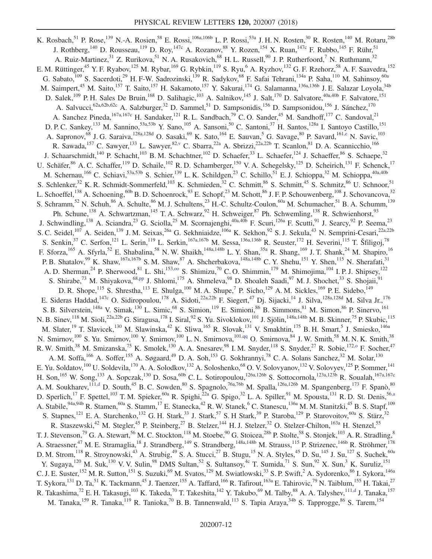K. Rosbach,<sup>51</sup> P. Rose,<sup>139</sup> N.-A. Rosien,<sup>58</sup> E. Rossi,<sup>106a,106b</sup> L. P. Rossi,<sup>53a</sup> J. H. N. Rosten,<sup>30</sup> R. Rosten,<sup>140</sup> M. Rotaru,<sup>28b</sup> J. Rothberg,<sup>140</sup> D. Rousseau,<sup>119</sup> D. Roy,<sup>147c</sup> A. Rozanov,<sup>88</sup> Y. Rozen,<sup>154</sup> X. Ruan,<sup>147c</sup> F. Rubbo,<sup>145</sup> F. Rühr,<sup>51</sup> A. Ruiz-Martinez,<sup>31</sup> Z. Rurikova,<sup>51</sup> N. A. Rusakovich,<sup>68</sup> H. L. Russell,<sup>90</sup> J. P. Rutherfoord,<sup>7</sup> N. Ruthmann,<sup>32</sup> E. M. Rüttinger,<sup>45</sup> Y. F. Ryabov,<sup>125</sup> M. Rybar,<sup>169</sup> G. Rybkin,<sup>119</sup> S. Ryu,<sup>6</sup> A. Ryzhov,<sup>132</sup> G. F. Rzehorz,<sup>58</sup> A. F. Saavedra,<sup>152</sup> G. Sabato,<sup>109</sup> S. Sacerdoti,<sup>29</sup> H. F-W. Sadrozinski,<sup>139</sup> R. Sadykov,<sup>68</sup> F. Safai Tehrani,<sup>134a</sup> P. Saha,<sup>110</sup> M. Sahinsoy,<sup>60a</sup> M. Saimpert,<sup>45</sup> M. Saito,<sup>157</sup> T. Saito,<sup>157</sup> H. Sakamoto,<sup>157</sup> Y. Sakurai,<sup>174</sup> G. Salamanna,<sup>136a,136b</sup> J. E. Salazar Loyola,<sup>34b</sup> D. Salek,<sup>109</sup> P. H. Sales De Bruin,<sup>168</sup> D. Salihagic,<sup>103</sup> A. Salnikov,<sup>145</sup> J. Salt,<sup>170</sup> D. Salvatore,<sup>40a,40b</sup> F. Salvatore,<sup>151</sup> A. Salvucci,<sup>62a,62b,62c</sup> A. Salzburger,<sup>32</sup> D. Sammel,<sup>51</sup> D. Sampsonidis,<sup>156</sup> D. Sampsonidou,<sup>156</sup> J. Sánchez,<sup>170</sup> A. Sanchez Pineda,<sup>167a,167c</sup> H. Sandaker,<sup>121</sup> R. L. Sandbach,<sup>79</sup> C. O. Sander,<sup>45</sup> M. Sandhoff,<sup>177</sup> C. Sandoval,<sup>21</sup> D. P. C. Sankey,<sup>133</sup> M. Sannino,<sup>53a,53b</sup> Y. Sano,<sup>105</sup> A. Sansoni,<sup>50</sup> C. Santoni,<sup>37</sup> H. Santos,<sup>128a</sup> I. Santoyo Castillo,<sup>151</sup> A. Sapronov,<sup>68</sup> J. G. Saraiva,<sup>128a,128d</sup> O. Sasaki,<sup>69</sup> K. Sato,<sup>164</sup> E. Sauvan,<sup>5</sup> G. Savage,<sup>80</sup> P. Savard,<sup>161,e</sup> N. Savic,<sup>103</sup> R. Sawada, <sup>157</sup> C. Sawyer, <sup>133</sup> L. Sawyer, <sup>82, v</sup> C. Sbarra, <sup>22a</sup> A. Sbrizzi, <sup>22a, 22b</sup> T. Scanlon, <sup>81</sup> D. A. Scannicchio, <sup>166</sup> J. Schaarschmidt,<sup>140</sup> P. Schacht,<sup>103</sup> B. M. Schachtner,<sup>102</sup> D. Schaefer,<sup>33</sup> L. Schaefer,<sup>124</sup> J. Schaeffer,<sup>86</sup> S. Schaepe,<sup>32</sup> U. Schäfer,  $86$  A. C. Schaffer,  $^{119}$  D. Schaile,  $^{102}$  R. D. Schamberger,  $^{150}$  V. A. Schegelsky,  $^{125}$  D. Scheirich,  $^{131}$  F. Schenck,  $^{17}$ M. Schernau,<sup>166</sup> C. Schiavi,<sup>53a,53b</sup> S. Schier,<sup>139</sup> L. K. Schildgen,<sup>23</sup> C. Schillo,<sup>51</sup> E. J. Schioppa,<sup>32</sup> M. Schioppa,<sup>40a,40b</sup> S. Schlenker,<sup>32</sup> K. R. Schmidt-Sommerfeld,<sup>103</sup> K. Schmieden,<sup>32</sup> C. Schmitt,<sup>86</sup> S. Schmitt,<sup>45</sup> S. Schmitz,<sup>86</sup> U. Schnoor,<sup>51</sup> L. Schoeffel,<sup>138</sup> A. Schoening,<sup>60b</sup> B. D. Schoenrock,<sup>93</sup> E. Schopf,<sup>23</sup> M. Schott,<sup>86</sup> J. F. P. Schouwenberg,<sup>108</sup> J. Schovancova,<sup>32</sup> S. Schramm,<sup>52</sup> N. Schuh,<sup>86</sup> A. Schulte,<sup>86</sup> M. J. Schultens,<sup>23</sup> H.-C. Schultz-Coulon,<sup>60a</sup> M. Schumacher,<sup>51</sup> B. A. Schumm,<sup>139</sup> Ph. Schune,<sup>138</sup> A. Schwartzman,<sup>145</sup> T. A. Schwarz,<sup>92</sup> H. Schweiger,<sup>87</sup> Ph. Schwemling,<sup>138</sup> R. Schwienhorst,<sup>93</sup> J. Schwindling,<sup>138</sup> A. Sciandra,<sup>23</sup> G. Sciolla,<sup>25</sup> M. Scornajenghi,<sup>40a,40b</sup> F. Scuri,<sup>126a</sup> F. Scutti,<sup>91</sup> J. Searcy,<sup>92</sup> P. Seema,<sup>23</sup> S. C. Seidel,<sup>107</sup> A. Seiden,<sup>139</sup> J. M. Seixas,<sup>26a</sup> G. Sekhniaidze,<sup>106a</sup> K. Sekhon,<sup>92</sup> S. J. Sekula,<sup>43</sup> N. Semprini-Cesari,<sup>22a,22b</sup> S. Senkin,<sup>37</sup> C. Serfon,<sup>121</sup> L. Serin,<sup>119</sup> L. Serkin,<sup>167a,167b</sup> M. Sessa,<sup>136a,136b</sup> R. Seuster,<sup>172</sup> H. Severini,<sup>115</sup> T. Šfiligoj,<sup>78</sup> F. Sforza,<sup>165</sup> A. Sfyrla,<sup>52</sup> E. Shabalina,<sup>58</sup> N.W. Shaikh,<sup>148a,148b</sup> L.Y. Shan,<sup>35a</sup> R. Shang,<sup>169</sup> J.T. Shank,<sup>24</sup> M. Shapiro,<sup>16</sup> P. B. Shatalov,  $99$  K. Shaw,  $167a,167b$  S. M. Shaw,  $87$  A. Shcherbakova,  $148a,148b$  C. Y. Shehu,  $151$  Y. Shen,  $115$  N. Sherafati,  $31$ A. D. Sherman,<sup>24</sup> P. Sherwood,<sup>81</sup> L. Shi,<sup>153,00</sup> S. Shimizu,<sup>70</sup> C. O. Shimmin,<sup>179</sup> M. Shimojima,<sup>104</sup> I. P. J. Shipsey,<sup>122</sup> S. Shirabe,<sup>73</sup> M. Shiyakova,<sup>68,pp</sup> J. Shlomi,<sup>175</sup> A. Shmeleva,<sup>98</sup> D. Shoaleh Saadi,<sup>97</sup> M. J. Shochet,<sup>33</sup> S. Shojaii,<sup>91</sup> D. R. Shope,<sup>115</sup> S. Shrestha,<sup>113</sup> E. Shulga,<sup>100</sup> M. A. Shupe,<sup>7</sup> P. Sicho,<sup>129</sup> A. M. Sickles,<sup>169</sup> P. E. Sidebo,<sup>149</sup> E. Sideras Haddad, <sup>147c</sup> O. Sidiropoulou, <sup>178</sup> A. Sidoti, <sup>22a, 22b</sup> F. Siegert, <sup>47</sup> Dj. Sijacki, <sup>14</sup> J. Silva, <sup>128a, 128d M. Silva Jr., <sup>176</sup></sup> S. B. Silverstein,  $^{148a}$  V. Simak,  $^{130}$  L. Simic,  $^{68}$  S. Simion,  $^{119}$  E. Simioni,  $^{86}$  B. Simmons,  $^{81}$  M. Simon,  $^{86}$  P. Sinervo,  $^{161}$ N. B. Sinev, <sup>118</sup> M. Sioli, <sup>22a, 22b</sup> G. Siragusa, <sup>178</sup> I. Siral, <sup>92</sup> S. Yu. Sivoklokov, <sup>101</sup> J. Sjölin, <sup>148a, 148b</sup> M. B. Skinner, <sup>75</sup> P. Skubic, <sup>115</sup> M. Slater,<sup>19</sup> T. Slavicek,<sup>130</sup> M. Slawinska,<sup>42</sup> K. Sliwa,<sup>165</sup> R. Slovak,<sup>131</sup> V. Smakhtin,<sup>175</sup> B. H. Smart,<sup>5</sup> J. Smiesko,<sup>146a</sup> N. Smirnov,<sup>100</sup> S. Yu. Smirnov,<sup>100</sup> Y. Smirnov,<sup>100</sup> L. N. Smirnova,<sup>101,qq</sup> O. Smirnova,<sup>84</sup> J. W. Smith,<sup>58</sup> M. N. K. Smith,<sup>38</sup> R. W. Smith,<sup>38</sup> M. Smizanska,<sup>75</sup> K. Smolek,<sup>130</sup> A. A. Snesarev,<sup>98</sup> I. M. Snyder,<sup>118</sup> S. Snyder,<sup>27</sup> R. Sobie,<sup>172,0</sup> F. Socher,<sup>47</sup> A. M. Soffa,<sup>166</sup> A. Soffer,<sup>155</sup> A. Søgaard,<sup>49</sup> D. A. Soh,<sup>153</sup> G. Sokhrannyi,<sup>78</sup> C. A. Solans Sanchez,<sup>32</sup> M. Solar,<sup>130</sup> E. Yu. Soldatov,<sup>100</sup> U. Soldevila,<sup>170</sup> A. A. Solodkov,<sup>132</sup> A. Soloshenko,<sup>68</sup> O. V. Solovyanov,<sup>132</sup> V. Solovyev,<sup>125</sup> P. Sommer,<sup>141</sup> H. Son,<sup>165</sup> W. Song,<sup>133</sup> A. Sopczak,<sup>130</sup> D. Sosa,<sup>60b</sup> C. L. Sotiropoulou,<sup>126a,126b</sup> S. Sottocornola,<sup>123a,123b</sup> R. Soualah,<sup>167a,167c</sup> A. M. Soukharev,<sup>111,d</sup> D. South,<sup>45</sup> B. C. Sowden,<sup>80</sup> S. Spagnolo,<sup>76a,76b</sup> M. Spalla,<sup>126a,126b</sup> M. Spangenberg,<sup>173</sup> F. Spanò,<sup>80</sup> D. Sperlich,<sup>17</sup> F. Spettel,<sup>103</sup> T.M. Spieker,<sup>60a</sup> R. Spighi,<sup>22a</sup> G. Spigo,<sup>32</sup> L.A. Spiller,<sup>91</sup> M. Spousta,<sup>131</sup> R.D. St. Denis,<sup>56,a</sup> A. Stabile,  $^{94a,94b}$  R. Stamen,  $^{60a}$  S. Stamm,  $^{17}$  E. Stanecka,  $^{42}$  R. W. Stanek,  $^{6}$  C. Stanescu,  $^{136a}$  M. M. Stanitzki,  $^{45}$  B. S. Stapf,  $^{109}$ S. Stapnes,<sup>121</sup> E. A. Starchenko,<sup>132</sup> G. H. Stark,<sup>33</sup> J. Stark,<sup>57</sup> S. H Stark,<sup>39</sup> P. Staroba,<sup>129</sup> P. Starovoitov,<sup>60a</sup> S. Stärz,<sup>32</sup> R. Staszewski,<sup>42</sup> M. Stegler,<sup>45</sup> P. Steinberg,<sup>27</sup> B. Stelzer,<sup>144</sup> H. J. Stelzer,<sup>32</sup> O. Stelzer-Chilton,<sup>163a</sup> H. Stenzel,<sup>55</sup> T. J. Stevenson,<sup>79</sup> G. A. Stewart,<sup>56</sup> M. C. Stockton,<sup>118</sup> M. Stoebe,<sup>90</sup> G. Stoicea,<sup>28b</sup> P. Stolte,<sup>58</sup> S. Stonjek,<sup>103</sup> A. R. Stradling,<sup>8</sup> A. Straessner,<sup>47</sup> M. E. Stramaglia,<sup>18</sup> J. Strandberg,<sup>149</sup> S. Strandberg,<sup>148a,148b</sup> M. Strauss,<sup>115</sup> P. Strizenec,<sup>146b</sup> R. Ströhmer,<sup>178</sup> D. M. Strom,<sup>118</sup> R. Stroynowski,<sup>43</sup> A. Strubig,<sup>49</sup> S. A. Stucci,<sup>27</sup> B. Stugu,<sup>15</sup> N. A. Styles,<sup>45</sup> D. Su,<sup>145</sup> J. Su,<sup>127</sup> S. Suchek,<sup>60a</sup> Y. Sugaya,<sup>120</sup> M. Suk,<sup>130</sup> V. V. Sulin,<sup>98</sup> DMS Sultan,<sup>52</sup> S. Sultansoy,<sup>4c</sup> T. Sumida,<sup>71</sup> S. Sun,<sup>92</sup> X. Sun,<sup>3</sup> K. Suruliz,<sup>151</sup> C. J. E. Suster,<sup>152</sup> M. R. Sutton,<sup>151</sup> S. Suzuki,<sup>69</sup> M. Svatos,<sup>129</sup> M. Swiatlowski,<sup>33</sup> S. P. Swift,<sup>2</sup> A. Sydorenko,<sup>86</sup> I. Sykora,<sup>146a</sup> T. Sykora,<sup>131</sup> D. Ta,<sup>51</sup> K. Tackmann,<sup>45</sup> J. Taenzer,<sup>155</sup> A. Taffard,<sup>166</sup> R. Tafirout,<sup>163a</sup> E. Tahirovic,<sup>79</sup> N. Taiblum,<sup>155</sup> H. Takai,<sup>27</sup> R. Takashima,<sup>72</sup> E. H. Takasugi,<sup>103</sup> K. Takeda,<sup>70</sup> T. Takeshita,<sup>142</sup> Y. Takubo,<sup>69</sup> M. Talby,<sup>88</sup> A. A. Talyshev,<sup>111,d</sup> J. Tanaka,<sup>157</sup> M. Tanaka,<sup>159</sup> R. Tanaka,<sup>119</sup> R. Tanioka,<sup>70</sup> B. B. Tannenwald,<sup>113</sup> S. Tapia Araya,<sup>34b</sup> S. Tapprogge,<sup>86</sup> S. Tarem,<sup>154</sup>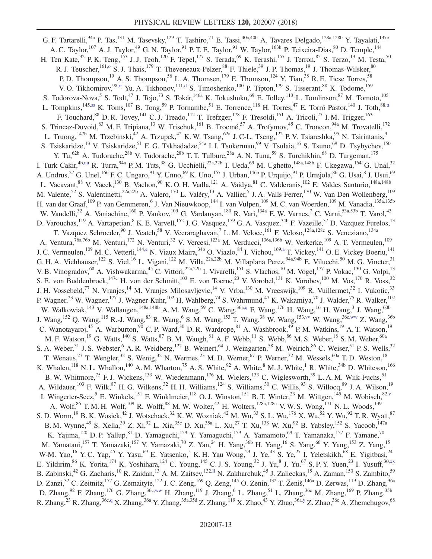G. F. Tartarelli,<sup>94a</sup> P. Tas,<sup>131</sup> M. Tasevsky,<sup>129</sup> T. Tashiro,<sup>71</sup> E. Tassi,<sup>40a,40b</sup> A. Tavares Delgado,<sup>128a,128b</sup> Y. Tayalati,<sup>137e</sup> A. C. Taylor,<sup>107</sup> A. J. Taylor,<sup>49</sup> G. N. Taylor,<sup>91</sup> P. T. E. Taylor,<sup>91</sup> W. Taylor,<sup>163b</sup> P. Teixeira-Dias,<sup>80</sup> D. Temple,<sup>144</sup> H. Ten Kate,<sup>32</sup> P. K. Teng,<sup>153</sup> J. J. Teoh,<sup>120</sup> F. Tepel,<sup>177</sup> S. Terada,<sup>69</sup> K. Terashi,<sup>157</sup> J. Terron,<sup>85</sup> S. Terzo,<sup>13</sup> M. Testa,<sup>50</sup> R. J. Teuscher,<sup>161,o</sup> S. J. Thais,<sup>179</sup> T. Theveneaux-Pelzer,<sup>88</sup> F. Thiele,<sup>39</sup> J. P. Thomas,<sup>19</sup> J. Thomas-Wilsker,<sup>80</sup> P. D. Thompson,<sup>19</sup> A. S. Thompson,<sup>56</sup> L. A. Thomsen,<sup>179</sup> E. Thomson,<sup>124</sup> Y. Tian,<sup>38</sup> R. E. Ticse Torres,<sup>58</sup> V. O. Tikhomirov, <sup>98, rr</sup> Yu. A. Tikhonov, <sup>111, d</sup> S. Timoshenko, <sup>100</sup> P. Tipton, <sup>179</sup> S. Tisserant, <sup>88</sup> K. Todome, <sup>159</sup> S. Todorova-Nova, <sup>5</sup> S. Todt, <sup>47</sup> J. Tojo, <sup>73</sup> S. Tokár, <sup>146a</sup> K. Tokushuku, <sup>69</sup> E. Tolley, <sup>113</sup> L. Tomlinson, <sup>87</sup> M. Tomoto, <sup>105</sup> L. Tompkins,<sup>145,ss</sup> K. Toms,<sup>107</sup> B. Tong,<sup>59</sup> P. Tornambe,<sup>51</sup> E. Torrence,<sup>118</sup> H. Torres,<sup>47</sup> E. Torró Pastor,<sup>140</sup> J. Toth,<sup>88,tt</sup> F. Touchard,  $88$  D. R. Tovey,  $^{141}$  C. J. Treado,  $^{112}$  T. Trefzger,  $^{178}$  F. Tresoldi,  $^{151}$  A. Tricoli,  $^{27}$  I. M. Trigger,  $^{163a}$ S. Trincaz-Duvoid, <sup>83</sup> M. F. Tripiana, <sup>13</sup> W. Trischuk, <sup>161</sup> B. Trocmé, <sup>57</sup> A. Trofymov, <sup>45</sup> C. Troncon, <sup>94a</sup> M. Trovatelli, <sup>172</sup> L. Truong,  $^{147b}$  M. Trzebinski,  $^{42}$  A. Trzupek,  $^{42}$  K. W. Tsang,  $^{62a}$  J. C-L. Tseng,  $^{122}$  P. V. Tsiareshka,  $^{95}$  N. Tsirintanis,  $^{9}$ S. Tsiskaridze,<sup>13</sup> V. Tsiskaridze,<sup>51</sup> E. G. Tskhadadze,<sup>54a</sup> I. I. Tsukerman,<sup>99</sup> V. Tsulaia,<sup>16</sup> S. Tsuno,<sup>69</sup> D. Tsybychev,<sup>150</sup> Y. Tu,<sup>62b</sup> A. Tudorache,<sup>28b</sup> V. Tudorache,<sup>28b</sup> T. T. Tulbure,<sup>28a</sup> A. N. Tuna,<sup>59</sup> S. Turchikhin,<sup>68</sup> D. Turgeman,<sup>175</sup> I. Turk Cakir,  $^{4b,uu}$  R. Turra,  $^{94a}$  P.M. Tuts,  $^{38}$  G. Ucchielli,  $^{22a,22b}$  I. Ueda,  $^{69}$  M. Ughetto,  $^{148a,148b}$  F. Ukegawa,  $^{164}$  G. Unal,  $^{32}$ A. Undrus,<sup>27</sup> G. Unel,<sup>166</sup> F. C. Ungaro,<sup>91</sup> Y. Unno,<sup>69</sup> K. Uno,<sup>157</sup> J. Urban,<sup>146b</sup> P. Urquijo,<sup>91</sup> P. Urrejola,<sup>86</sup> G. Usai,<sup>8</sup> J. Usui,<sup>69</sup> L. Vacavant, <sup>88</sup> V. Vacek, <sup>130</sup> B. Vachon, <sup>90</sup> K. O. H. Vadla, <sup>121</sup> A. Vaidya, <sup>81</sup> C. Valderanis, <sup>102</sup> E. Valdes Santurio, <sup>148a, 148b</sup> M. Valente,<sup>52</sup> S. Valentinetti,<sup>22a,22b</sup> A. Valero,<sup>170</sup> L. Valéry,<sup>13</sup> A. Vallier,<sup>5</sup> J. A. Valls Ferrer,<sup>170</sup> W. Van Den Wollenberg,<sup>109</sup> H. van der Graaf, <sup>109</sup> P. van Gemmeren, <sup>6</sup> J. Van Nieuwkoop, <sup>144</sup> I. van Vulpen, <sup>109</sup> M. C. van Woerden, <sup>109</sup> M. Vanadia, <sup>135a, 135b</sup> W. Vandelli,<sup>32</sup> A. Vaniachine,<sup>160</sup> P. Vankov,<sup>109</sup> G. Vardanyan,<sup>180</sup> R. Vari,<sup>134a</sup> E. W. Varnes,<sup>7</sup> C. Varni,<sup>53a,53b</sup> T. Varol,<sup>43</sup> D. Varouchas, <sup>119</sup> A. Vartapetian, <sup>8</sup> K. E. Varvell, <sup>152</sup> J. G. Vasquez, <sup>179</sup> G. A. Vasquez, <sup>34b</sup> F. Vazeille, <sup>37</sup> D. Vazquez Furelos, <sup>13</sup> T. Vazquez Schroeder,<sup>90</sup> J. Veatch,<sup>58</sup> V. Veeraraghavan,<sup>7</sup> L.M. Veloce,<sup>161</sup> F. Veloso,<sup>128a,128c</sup> S. Veneziano,<sup>134a</sup> A. Ventura,<sup>76a,76b</sup> M. Venturi,<sup>172</sup> N. Venturi,<sup>32</sup> V. Vercesi,<sup>123a</sup> M. Verducci,<sup>136a,136b</sup> W. Verkerke,<sup>109</sup> A. T. Vermeulen,<sup>109</sup> J. C. Vermeulen,<sup>109</sup> M. C. Vetterli,<sup>144,e</sup> N. Viaux Maira,<sup>34b</sup> O. Viazlo,<sup>84</sup> I. Vichou,<sup>169,a</sup> T. Vickey,<sup>141</sup> O. E. Vickey Boeriu,<sup>141</sup> G. H. A. Viehhauser,  $^{122}$  S. Viel,  $^{16}$  L. Vigani,  $^{122}$  M. Villa,  $^{22a,22b}$  M. Villaplana Perez,  $^{94a,94b}$  E. Vilucchi,  $^{50}$  M. G. Vincter,  $^{31}$ V. B. Vinogradov,<sup>68</sup> A. Vishwakarma,<sup>45</sup> C. Vittori,<sup>22a,22b</sup> I. Vivarelli,<sup>151</sup> S. Vlachos,<sup>10</sup> M. Vogel,<sup>177</sup> P. Vokac,<sup>130</sup> G. Volpi,<sup>13</sup> S. E. von Buddenbrock,<sup>147c</sup> H. von der Schmitt,<sup>103</sup> E. von Toerne,<sup>23</sup> V. Vorobel,<sup>131</sup> K. Vorobev,<sup>100</sup> M. Vos,<sup>170</sup> R. Voss,<sup>32</sup> J. H. Vossebeld,<sup>77</sup> N. Vranjes,<sup>14</sup> M. Vranjes Milosavljevic,<sup>14</sup> V. Vrba,<sup>130</sup> M. Vreeswijk,<sup>109</sup> R. Vuillermet,<sup>32</sup> I. Vukotic,<sup>33</sup> P. Wagner,<sup>23</sup> W. Wagner,<sup>177</sup> J. Wagner-Kuhr,<sup>102</sup> H. Wahlberg,<sup>74</sup> S. Wahrmund,<sup>47</sup> K. Wakamiya,<sup>70</sup> J. Walder,<sup>75</sup> R. Walker,<sup>102</sup> W. Walkowiak,<sup>143</sup> V. Wallangen,<sup>148a,148b</sup> A. M. Wang,<sup>59</sup> C. Wang,<sup>36a,q</sup> F. Wang,<sup>176</sup> H. Wang,<sup>16</sup> H. Wang,<sup>3</sup> J. Wang,<sup>60b</sup> J. Wang,<sup>152</sup> Q. Wang,<sup>115</sup> R.-J. Wang,<sup>83</sup> R. Wang,<sup>6</sup> S. M. Wang,<sup>153</sup> T. Wang,<sup>38</sup> W. Wang,<sup>153,vv</sup> W. Wang,<sup>36c,ww</sup> Z. Wang,<sup>36b</sup> C. Wanotayaroj,<sup>45</sup> A. Warburton,<sup>90</sup> C. P. Ward,<sup>30</sup> D. R. Wardrope,<sup>81</sup> A. Washbrook,<sup>49</sup> P. M. Watkins,<sup>19</sup> A. T. Watson,<sup>19</sup> M. F. Watson,<sup>19</sup> G. Watts,<sup>140</sup> S. Watts,<sup>87</sup> B. M. Waugh,<sup>81</sup> A. F. Webb,<sup>11</sup> S. Webb,<sup>86</sup> M. S. Weber,<sup>18</sup> S. M. Weber,<sup>60a</sup> S. A. Weber,<sup>31</sup> J. S. Webster,<sup>6</sup> A. R. Weidberg,<sup>122</sup> B. Weinert,<sup>64</sup> J. Weingarten,<sup>58</sup> M. Weirich,<sup>86</sup> C. Weiser,<sup>51</sup> P. S. Wells,<sup>32</sup> T. Wenaus,<sup>27</sup> T. Wengler,<sup>32</sup> S. Wenig,<sup>32</sup> N. Wermes,<sup>23</sup> M. D. Werner,<sup>67</sup> P. Werner,<sup>32</sup> M. Wessels,<sup>60a</sup> T. D. Weston,<sup>18</sup> K. Whalen,<sup>118</sup> N. L. Whallon,<sup>140</sup> A. M. Wharton,<sup>75</sup> A. S. White,<sup>92</sup> A. White,<sup>8</sup> M. J. White,<sup>1</sup> R. White,<sup>34b</sup> D. Whiteson,<sup>166</sup> B. W. Whitmore, <sup>75</sup> F. J. Wickens, <sup>133</sup> W. Wiedenmann, <sup>176</sup> M. Wielers, <sup>133</sup> C. Wiglesworth, <sup>39</sup> L. A. M. Wiik-Fuchs, <sup>51</sup> A. Wildauer,<sup>103</sup> F. Wilk,<sup>87</sup> H. G. Wilkens,<sup>32</sup> H. H. Williams,<sup>124</sup> S. Williams,<sup>30</sup> C. Willis,<sup>93</sup> S. Willocq,<sup>89</sup> J. A. Wilson,<sup>19</sup> I. Wingerter-Seez,<sup>5</sup> E. Winkels,<sup>151</sup> F. Winklmeier,<sup>118</sup> O. J. Winston,<sup>151</sup> B. T. Winter,<sup>23</sup> M. Wittgen,<sup>145</sup> M. Wobisch,<sup>82,v</sup> A. Wolf,<sup>86</sup> T. M. H. Wolf,<sup>109</sup> R. Wolff,<sup>88</sup> M. W. Wolter,<sup>42</sup> H. Wolters,<sup>128a,128c</sup> V. W. S. Wong,<sup>171</sup> N. L. Woods,<sup>139</sup> S. D. Worm, <sup>19</sup> B. K. Wosiek, <sup>42</sup> J. Wotschack, <sup>32</sup> K. W. Wozniak, <sup>42</sup> M. Wu, <sup>33</sup> S. L. Wu, <sup>176</sup> X. Wu, <sup>52</sup> Y. Wu, <sup>92</sup> T. R. Wyatt, <sup>87</sup> B. M. Wynne,<sup>49</sup> S. Xella,<sup>39</sup> Z. Xi,<sup>92</sup> L. Xia,<sup>35c</sup> D. Xu,<sup>35a</sup> L. Xu,<sup>27</sup> T. Xu,<sup>138</sup> W. Xu,<sup>92</sup> B. Yabsley,<sup>152</sup> S. Yacoob,<sup>147a</sup> K. Yajima,<sup>120</sup> D. P. Yallup,<sup>81</sup> D. Yamaguchi,<sup>159</sup> Y. Yamaguchi,<sup>159</sup> A. Yamamoto,<sup>69</sup> T. Yamanaka,<sup>157</sup> F. Yamane,<sup>70</sup> M. Yamatani,<sup>157</sup> T. Yamazaki,<sup>157</sup> Y. Yamazaki,<sup>70</sup> Z. Yan,<sup>24</sup> H. Yang,<sup>36b</sup> H. Yang,<sup>16</sup> S. Yang,<sup>66</sup> Y. Yang,<sup>153</sup> Z. Yang,<sup>15</sup> W-M. Yao,<sup>16</sup> Y. C. Yap,<sup>45</sup> Y. Yasu,<sup>69</sup> E. Yatsenko,<sup>5</sup> K. H. Yau Wong,<sup>23</sup> J. Ye,<sup>43</sup> S. Ye,<sup>27</sup> I. Yeletskikh,<sup>68</sup> E. Yigitbasi,<sup>24</sup> E. Yildirim,  $86$  K. Yorita,  $^{174}$  K. Yoshihara,  $^{124}$  C. Young,  $^{145}$  C. J. S. Young,  $^{32}$  J. Yu,  $^{8}$  J. Yu,  $^{67}$  S. P. Y. Yuen,  $^{23}$  I. Yusuff,  $^{30,xx}$ B. Zabinski,<sup>42</sup> G. Zacharis,<sup>10</sup> R. Zaidan,<sup>13</sup> A. M. Zaitsev,<sup>132,11</sup> N. Zakharchuk,<sup>45</sup> J. Zalieckas,<sup>15</sup> A. Zaman,<sup>150</sup> S. Zambito,<sup>59</sup> D. Zanzi,<sup>32</sup> C. Zeitnitz,<sup>177</sup> G. Zemaityte,<sup>122</sup> J. C. Zeng,<sup>169</sup> Q. Zeng,<sup>145</sup> O. Zenin,<sup>132</sup> T. Ženiš,<sup>146a</sup> D. Zerwas,<sup>119</sup> D. Zhang,<sup>36a</sup> D. Zhang,  $92$  F. Zhang,  $176$  G. Zhang,  $36c,ww$  H. Zhang,  $119$  J. Zhang,  $6$  L. Zhang,  $51$  L. Zhang,  $36c$  M. Zhang,  $169$  P. Zhang,  $35b$ R. Zhang,<sup>36c,q</sup> X. Zhang,<sup>36a</sup> Y. Zhang,<sup>35a,35d</sup> Z. Zhang,<sup>119</sup> X. Zhao,<sup>43</sup> Y. Zhao,<sup>36a,y</sup> Z. Zhao,<sup>36c</sup> A. Zhemchugov,<sup>68</sup>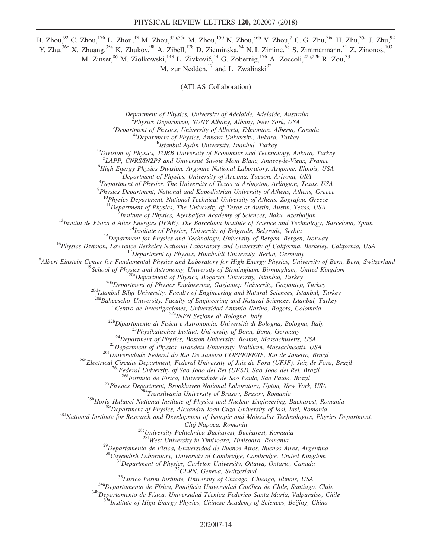B. Zhou,<sup>92</sup> C. Zhou,<sup>176</sup> L. Zhou,<sup>43</sup> M. Zhou,<sup>35a,35d</sup> M. Zhou,<sup>150</sup> N. Zhou,<sup>36b</sup> Y. Zhou,<sup>7</sup> C. G. Zhu,<sup>36a</sup> H. Zhu,<sup>35a</sup> J. Zhu,<sup>92</sup> Y. Zhu,<sup>36c</sup> X. Zhuang,<sup>35a</sup> K. Zhukov,<sup>98</sup> A. Zibell,<sup>178</sup> D. Zieminska,<sup>64</sup> N. I. Zimine,<sup>68</sup> S. Zimmermann,<sup>51</sup> Z. Zinonos,<sup>103</sup>

M. Zinser, <sup>86</sup> M. Ziolkowski, <sup>143</sup> L. Živković, <sup>14</sup> G. Zobernig, <sup>176</sup> A. Zoccoli, <sup>22a, 22b</sup> R. Zou, <sup>33</sup>

M. zur Nedden, $17$  and L. Zwalinski<sup>32</sup>

(ATLAS Collaboration)

 $1$ Department of Physics, University of Adelaide, Adelaide, Australia

<sup>2</sup>Physics Department, SUNY Albany, Albany, New York, USA

 $3$ Department of Physics, University of Alberta, Edmonton, Alberta, Canada

<sup>4a</sup>Department of Physics, Ankara University, Ankara, Turkey

<sup>4b</sup>Istanbul Aydin University, Istanbul, Turkey

<sup>4c</sup>Division of Physics, TOBB University of Economics and Technology, Ankara, Turkey

<sup>5</sup>LAPP, CNRS/IN2P3 and Université Savoie Mont Blanc, Annecy-le-Vieux, France

<sup>6</sup>High Energy Physics Division, Argonne National Laboratory, Argonne, Illinois, USA

 $^7$ Department of Physics, University of Arizona, Tucson, Arizona, USA

 $8D$ epartment of Physics, The University of Texas at Arlington, Arlington, Texas, USA

<sup>9</sup> Physics Department, National and Kapodistrian University of Athens, Athens, Greece

 $10$ <sup>D</sup>Physics Department, National Technical University of Athens, Zografou, Greece

 $11$ Department of Physics, The University of Texas at Austin, Austin, Texas, USA

 $^{12}$ Institute of Physics, Azerbaijan Academy of Sciences, Baku, Azerbaijan

 $^{13}$ Institut de Física d'Altes Energies (IFAE), The Barcelona Institute of Science and Technology, Barcelona, Spain

<sup>14</sup>Institute of Physics, University of Belgrade, Belgrade, Serbia

<sup>15</sup>Department for Physics and Technology, University of Bergen, Bergen, Norway

<sup>16</sup>Physics Division, Lawrence Berkeley National Laboratory and University of California, Berkeley, California, USA

 $17$ Department of Physics, Humboldt University, Berlin, Germany

<sup>18</sup>Albert Einstein Center for Fundamental Physics and Laboratory for High Energy Physics, University of Bern, Bern, Switzerland

 $\partial^3$ School of Physics and Astronomy, University of Birmingham, Birmingham, United Kingdom

 $^{20a}$ Department of Physics, Bogazici University, Istanbul, Turkey

<sup>20b</sup>Department of Physics Engineering, Gaziantep University, Gaziantep, Turkey

<sup>20d</sup>Istanbul Bilgi University, Faculty of Engineering and Natural Sciences, Istanbul, Turkey

 $^{20e}$ Bahcesehir University, Faculty of Engineering and Natural Sciences, Istanbul, Turkey

<sup>21</sup>Centro de Investigaciones, Universidad Antonio Narino, Bogota, Colombia

<sup>22a</sup>INFN Sezione di Bologna, Italy

 $22b$ Dipartimento di Fisica e Astronomia, Università di Bologna, Bologna, Italy

 $^{23}$ Physikalisches Institut, University of Bonn, Bonn, Germany

 $^{24}$ Department of Physics, Boston University, Boston, Massachusetts, USA

 $^{25}$ Department of Physics, Brandeis University, Waltham, Massachusetts, USA

<sup>26a</sup>Universidade Federal do Rio De Janeiro COPPE/EE/IF, Rio de Janeiro, Brazil

26bElectrical Circuits Department, Federal University of Juiz de Fora (UFJF), Juiz de Fora, Brazil

<sup>26c</sup>Federal University of Sao Joao del Rei (UFSJ), Sao Joao del Rei, Brazil

<sup>26d</sup>Instituto de Fisica, Universidade de Sao Paulo, Sao Paulo, Brazil

<sup>27</sup>Physics Department, Brookhaven National Laboratory, Upton, New York, USA

<sup>28a</sup>Transilvania University of Brasov, Brasov, Romania

<sup>28b</sup>Horia Hulubei National Institute of Physics and Nuclear Engineering, Bucharest, Romania

 $28c$ Department of Physics, Alexandru Ioan Cuza University of Iasi, Iasi, Romania

<sup>28d</sup>National Institute for Research and Development of Isotopic and Molecular Technologies, Physics Department,

Cluj Napoca, Romania

 $28e$ University Politehnica Bucharest, Bucharest, Romania

<sup>28f</sup>West University in Timisoara, Timisoara, Romania

<sup>29</sup>Departamento de Física, Universidad de Buenos Aires, Buenos Aires, Argentina

 $30$ Cavendish Laboratory, University of Cambridge, Cambridge, United Kingdom

 $31$ Department of Physics, Carleton University, Ottawa, Ontario, Canada

 $32$ CERN, Geneva, Switzerland

 $33$ Enrico Fermi Institute, University of Chicago, Chicago, Illinois, USA

<sup>34a</sup>Departamento de Física, Pontificia Universidad Católica de Chile, Santiago, Chile

34bDepartamento de Física, Universidad Técnica Federico Santa María, Valparaíso, Chile

 $5a$ Institute of High Energy Physics, Chinese Academy of Sciences, Beijing, China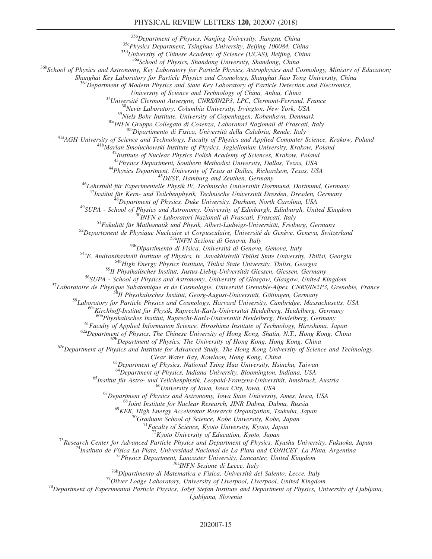#### PHYSICAL REVIEW LETTERS 120, 202007 (2018)

<sup>35b</sup>Department of Physics, Nanjing University, Jiangsu, China

<sup>35c</sup>Physics Department, Tsinghua University, Beijing 100084, China

<sup>35d</sup>University of Chinese Academy of Science (UCAS), Beijing, China

<sup>36a</sup>School of Physics, Shandong University, Shandong, China

36b School of Physics and Astronomy, Key Laboratory for Particle Physics, Astrophysics and Cosmology, Ministry of Education;

Shanghai Key Laboratory for Particle Physics and Cosmology, Shanghai Jiao Tong University, China

<sup>56c</sup>Department of Modern Physics and State Key Laboratory of Particle Detection and Electronics,

University of Science and Technology of China, Anhui, China

 $37$ Université Clermont Auvergne, CNRS/IN2P3, LPC, Clermont-Ferrand, France

 $188$ Nevis Laboratory, Columbia University, Irvington, New York, USA

<sup>39</sup>Niels Bohr Institute, University of Copenhagen, Kobenhavn, Denmark

40aINFN Gruppo Collegato di Cosenza, Laboratori Nazionali di Frascati, Italy

40b Dipartimento di Fisica, Università della Calabria, Rende, Italy

<sup>41a</sup>AGH University of Science and Technology, Faculty of Physics and Applied Computer Science, Krakow, Poland

<sup>41b</sup>Marian Smoluchowski Institute of Physics, Jagiellonian University, Krakow, Poland

 $^{2}$ Institute of Nuclear Physics Polish Academy of Sciences, Krakow, Poland

<sup>43</sup>Physics Department, Southern Methodist University, Dallas, Texas, USA

<sup>44</sup>Physics Department, University of Texas at Dallas, Richardson, Texas, USA

<sup>45</sup>DESY, Hamburg and Zeuthen, Germany

 $46$ Lehrstuhl für Experimentelle Physik IV, Technische Universität Dortmund, Dortmund, Germany

<sup>47</sup>Institut für Kern- und Teilchenphysik, Technische Universität Dresden, Dresden, Germany

 ${}^{3}$ Department of Physics, Duke University, Durham, North Carolina, USA

<sup>49</sup>SUPA - School of Physics and Astronomy, University of Edinburgh, Edinburgh, United Kingdom

<sup>50</sup>INFN e Laboratori Nazionali di Frascati, Frascati, Italy

 $51$ Fakultät für Mathematik und Physik, Albert-Ludwigs-Universität, Freiburg, Germany

 $52$ Departement de Physique Nucleaire et Corpusculaire, Université de Genève, Geneva, Switzerland

53a<sub>INFN</sub> Sezione di Genova, Italy

53b Dipartimento di Fisica, Università di Genova, Genova, Italy

54aE. Andronikashvili Institute of Physics, Iv. Javakhishvili Tbilisi State University, Tbilisi, Georgia

<sup>54b</sup>High Energy Physics Institute, Tbilisi State University, Tbilisi, Georgia

<sup>55</sup>II Physikalisches Institut, Justus-Liebig-Universität Giessen, Giessen, Germany

<sup>56</sup>SUPA - School of Physics and Astronomy, University of Glasgow, Glasgow, United Kingdom

57 Laboratoire de Physique Subatomique et de Cosmologie, Université Grenoble-Alpes, CNRS/IN2P3, Grenoble, France

58<br>II Physikalisches Institut, Georg-August-Universität, Göttingen, Germany

<sup>59</sup>Laboratory for Particle Physics and Cosmology, Harvard University, Cambridge, Massachusetts, USA

<sup>60a</sup>Kirchhoff-Institut für Physik, Ruprecht-Karls-Universität Heidelberg, Heidelberg, Germany

60bPhysikalisches Institut, Ruprecht-Karls-Universität Heidelberg, Heidelberg, Germany

<sup>61</sup>Faculty of Applied Information Science, Hiroshima Institute of Technology, Hiroshima, Japan

62aDepartment of Physics, The Chinese University of Hong Kong, Shatin, N.T., Hong Kong, China

 $62b$ Department of Physics, The University of Hong Kong, Hong Kong, China

 $62c$ Department of Physics and Institute for Advanced Study, The Hong Kong University of Science and Technology,

Clear Water Bay, Kowloon, Hong Kong, China

 $^{63}$ Department of Physics, National Tsing Hua University, Hsinchu, Taiwan

<sup>64</sup>Department of Physics, Indiana University, Bloomington, Indiana, USA

<sup>65</sup>Institut für Astro- und Teilchenphysik, Leopold-Franzens-Universität, Innsbruck, Austria

<sup>66</sup>University of Iowa, Iowa City, Iowa, USA

<sup>67</sup>Department of Physics and Astronomy, Iowa State University, Ames, Iowa, USA

<sup>68</sup>Joint Institute for Nuclear Research, JINR Dubna, Dubna, Russia

<sup>69</sup>KEK, High Energy Accelerator Research Organization, Tsukuba, Japan

 $^{70}$ Graduate School of Science, Kobe University, Kobe, Japan

 $Z^7$ Faculty of Science, Kyoto University, Kyoto, Japan

 $72$ Kyoto University of Education, Kyoto, Japan

<sup>73</sup>Research Center for Advanced Particle Physics and Department of Physics, Kyushu University, Fukuoka, Japan

<sup>74</sup>Instituto de Física La Plata, Universidad Nacional de La Plata and CONICET, La Plata, Argentina

 $^{75}$ Physics Department, Lancaster University, Lancaster, United Kingdom

<sup>76a</sup>INFN Sezione di Lecce, Italy

 $^{76b}$ Dipartimento di Matematica e Fisica, Università del Salento, Lecce, Italy

 $77$ Oliver Lodge Laboratory, University of Liverpool, Liverpool, United Kingdom

<sup>78</sup>Department of Experimental Particle Physics, Jožef Stefan Institute and Department of Physics, University of Ljubljana,

Ljubljana, Slovenia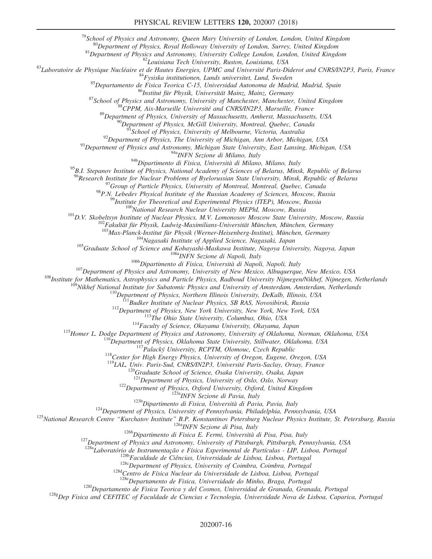$^{79}$ School of Physics and Astronomy, Queen Mary University of London, London, United Kingdom

 $80$ Department of Physics, Royal Holloway University of London, Surrey, United Kingdom

<sup>81</sup>Department of Physics and Astronomy, University College London, London, United Kingdom

 ${}^{82}$ Louisiana Tech University, Ruston, Louisiana, USA

 $^{83}$ Laboratoire de Physique Nucléaire et de Hautes Energies, UPMC and Université Paris-Diderot and CNRS/IN2P3, Paris, France

 $84$ Fysiska institutionen, Lunds universitet, Lund, Sweden

<sup>85</sup>Departamento de Fisica Teorica C-15, Universidad Autonoma de Madrid, Madrid, Spain

<sup>86</sup>Institut für Physik, Universität Mainz, Mainz, Germany

87School of Physics and Astronomy, University of Manchester, Manchester, United Kingdom

88 CPPM, Aix-Marseille Université and CNRS/IN2P3, Marseille, France

 $89$ Department of Physics, University of Massachusetts, Amherst, Massachusetts, USA

 $^{90}$ Department of Physics, McGill University, Montreal, Quebec, Canada

School of Physics, University of Melbourne, Victoria, Australia

 $92$ Department of Physics, The University of Michigan, Ann Arbor, Michigan, USA

 $93$ Department of Physics and Astronomy, Michigan State University, East Lansing, Michigan, USA

<sup>94a</sup>INFN Sezione di Milano, Italy

94b Dipartimento di Fisica, Università di Milano, Milano, Italy

 $^{95}$ B.I. Stepanov Institute of Physics, National Academy of Sciences of Belarus, Minsk, Republic of Belarus

<sup>96</sup>Research Institute for Nuclear Problems of Byelorussian State University, Minsk, Republic of Belarus

 $97$ Group of Particle Physics, University of Montreal, Montreal, Quebec, Canada

98P.N. Lebedev Physical Institute of the Russian Academy of Sciences, Moscow, Russia

Institute for Theoretical and Experimental Physics (ITEP), Moscow, Russia

<sup>100</sup>National Research Nuclear University MEPhI, Moscow, Russia

<sup>101</sup>D.V. Skobeltsyn Institute of Nuclear Physics, M.V. Lomonosov Moscow State University, Moscow, Russia

 $102$ Fakultät für Physik, Ludwig-Maximilians-Universität München, München, Germany

 $103$ Max-Planck-Institut für Physik (Werner-Heisenberg-Institut), München, Germany

<sup>104</sup>Nagasaki Institute of Applied Science, Nagasaki, Japan

<sup>105</sup>Graduate School of Science and Kobayashi-Maskawa Institute, Nagoya University, Nagoya, Japan

106a<sub>INFN</sub> Sezione di Napoli, Italy

 $106b$ Dipartimento di Fisica, Università di Napoli, Napoli, Italy

<sup>107</sup>Department of Physics and Astronomy, University of New Mexico, Albuquerque, New Mexico, USA

<sup>108</sup>Institute for Mathematics, Astrophysics and Particle Physics, Radboud University Nijmegen/Nikhef, Nijmegen, Netherlands

<sup>109</sup>Nikhef National Institute for Subatomic Physics and University of Amsterdam, Amsterdam, Netherlands

<sup>110</sup>Department of Physics, Northern Illinois University, DeKalb, Illinois, USA

111<sub>Budker</sub> Institute of Nuclear Physics, SB RAS, Novosibirsk, Russia

<sup>112</sup>Department of Physics, New York University, New York, New York, USA

<sup>113</sup>The Ohio State University, Columbus, Ohio, USA

<sup>114</sup>Faculty of Science, Okayama University, Okayama, Japan

<sup>115</sup>Homer L. Dodge Department of Physics and Astronomy, University of Oklahoma, Norman, Oklahoma, USA

 $16$ Department of Physics, Oklahoma State University, Stillwater, Oklahoma, USA

<sup>117</sup>Palacký University, RCPTM, Olomouc, Czech Republic

<sup>118</sup>Center for High Energy Physics, University of Oregon, Eugene, Oregon, USA

<sup>119</sup>LAL, Univ. Paris-Sud, CNRS/IN2P3, Université Paris-Saclay, Orsay, France

 $120$ Graduate School of Science, Osaka University, Osaka, Japan

 $121$ Department of Physics, University of Oslo, Oslo, Norway

 $122$ Department of Physics, Oxford University, Oxford, United Kingdom

<sup>123a</sup>INFN Sezione di Pavia, Italy

 $123b$ Dipartimento di Fisica, Università di Pavia, Pavia, Italy

 $124$ Department of Physics, University of Pennsylvania, Philadelphia, Pennsylvania, USA

<sup>125</sup>National Research Centre "Kurchatov Institute" B.P. Konstantinov Petersburg Nuclear Physics Institute, St. Petersburg, Russia

<sup>126a</sup>INFN Sezione di Pisa, Italy

 $126b$ Dipartimento di Fisica E. Fermi, Università di Pisa, Pisa, Italy

<sup>127</sup>Department of Physics and Astronomy, University of Pittsburgh, Pittsburgh, Pennsylvania, USA

<sup>128a</sup>Laboratório de Instrumentação e Física Experimental de Partículas - LIP, Lisboa, Portugal

<sup>128b</sup>Faculdade de Ciências, Universidade de Lisboa, Lisboa, Portugal

 $128c$ Department of Physics, University of Coimbra, Coimbra, Portugal

<sup>128d</sup>Centro de Física Nuclear da Universidade de Lisboa, Lisboa, Portugal

 $128e$ Departamento de Fisica, Universidade do Minho, Braga, Portugal

<sup>128f</sup>Departamento de Fisica Teorica y del Cosmos, Universidad de Granada, Granada, Portugal

<sup>128g</sup>Dep Fisica and CEFITEC of Faculdade de Ciencias e Tecnologia, Universidade Nova de Lisboa, Caparica, Portugal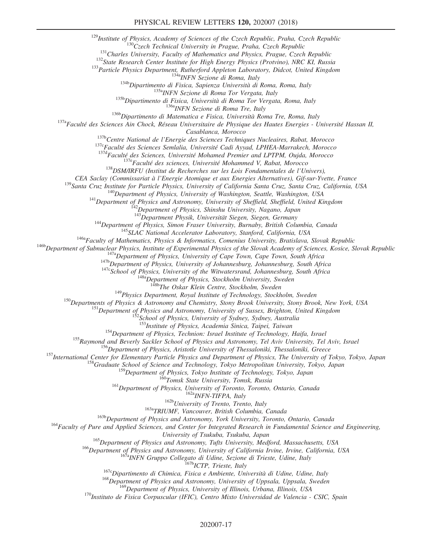<sup>129</sup> Institute of Physics, Academy of Sciences of the Czech Republic, Praha, Czech Republic  $130C$ zech Technical University in Prague, Praha, Czech Republic

<sup>131</sup>Charles University, Faculty of Mathematics and Physics, Prague, Czech Republic

<sup>132</sup>State Research Center Institute for High Energy Physics (Protvino), NRC KI, Russia

<sup>133</sup>Particle Physics Department, Rutherford Appleton Laboratory, Didcot, United Kingdom

134a<sub>INFN</sub> Sezione di Roma, Italy

<sup>134b</sup>Dipartimento di Fisica, Sapienza Università di Roma, Roma, Italy

<sup>135a</sup>INFN Sezione di Roma Tor Vergata, Italy

<sup>135b</sup>Dipartimento di Fisica, Università di Roma Tor Vergata, Roma, Italy

<sup>136a</sup>INFN Sezione di Roma Tre, Italy

 $136b$ Dipartimento di Matematica e Fisica, Università Roma Tre, Roma, Italy

 $137a$ Faculté des Sciences Ain Chock, Réseau Universitaire de Physique des Hautes Energies - Université Hassan II,

Casablanca, Morocco

<sup>137b</sup>Centre National de l'Energie des Sciences Techniques Nucleaires, Rabat, Morocco

 $137c$ Faculté des Sciences Semlalia, Université Cadi Ayyad, LPHEA-Marrakech, Morocco

<sup>137d</sup>Faculté des Sciences, Université Mohamed Premier and LPTPM, Oujda, Morocco

 $137e$ Faculté des sciences, Université Mohammed V, Rabat, Morocco

 $138$ DSM/IRFU (Institut de Recherches sur les Lois Fondamentales de l'Univers),

CEA Saclay (Commissariat à l'Energie Atomique et aux Energies Alternatives), Gif-sur-Yvette, France

139 Santa Cruz Institute for Particle Physics, University of California Santa Cruz, Santa Cruz, California, USA

 $140$ Department of Physics, University of Washington, Seattle, Washington, USA

<sup>141</sup>Department of Physics and Astronomy, University of Sheffield, Sheffield, United Kingdom

<sup>42</sup>Department of Physics, Shinshu University, Nagano, Japan

<sup>143</sup>Department Physik, Universität Siegen, Siegen, Germany

<sup>144</sup>Department of Physics, Simon Fraser University, Burnaby, British Columbia, Canada

<sup>145</sup>SLAC National Accelerator Laboratory, Stanford, California, USA

 $146a$ Faculty of Mathematics, Physics & Informatics, Comenius University, Bratislava, Slovak Republic

<sup>146b</sup>Department of Subnuclear Physics, Institute of Experimental Physics of the Slovak Academy of Sciences, Kosice, Slovak Republic

 $147a$ Department of Physics, University of Cape Town, Cape Town, South Africa

<sup>147b</sup>Department of Physics, University of Johannesburg, Johannesburg, South Africa

 $147c$ School of Physics, University of the Witwatersrand, Johannesburg, South Africa

 $148a$ Department of Physics, Stockholm University, Sweden

<sup>148b</sup>The Oskar Klein Centre, Stockholm, Sweden

<sup>149</sup>Physics Department, Royal Institute of Technology, Stockholm, Sweden

<sup>150</sup>Departments of Physics & Astronomy and Chemistry, Stony Brook University, Stony Brook, New York, USA

<sup>151</sup>Department of Physics and Astronomy, University of Sussex, Brighton, United Kingdom

<sup>152</sup>School of Physics, University of Sydney, Sydney, Australia

<sup>153</sup>Institute of Physics, Academia Sinica, Taipei, Taiwan

<sup>154</sup>Department of Physics, Technion: Israel Institute of Technology, Haifa, Israel

<sup>155</sup>Raymond and Beverly Sackler School of Physics and Astronomy, Tel Aviv University, Tel Aviv, Israel

<sup>156</sup>Department of Physics, Aristotle University of Thessaloniki, Thessaloniki, Greece

<sup>157</sup>International Center for Elementary Particle Physics and Department of Physics, The University of Tokyo, Tokyo, Japan

<sup>158</sup>Graduate School of Science and Technology, Tokyo Metropolitan University, Tokyo, Japan

<sup>159</sup>Department of Physics, Tokyo Institute of Technology, Tokyo, Japan

<sup>160</sup>Tomsk State University, Tomsk, Russia

<sup>161</sup>Department of Physics, University of Toronto, Toronto, Ontario, Canada

<sup>162a</sup>INFN-TIFPA, Italy

<sup>162b</sup>University of Trento, Trento, Italy

163aTRIUMF, Vancouver, British Columbia, Canada

<sup>163b</sup>Department of Physics and Astronomy, York University, Toronto, Ontario, Canada

<sup>164</sup>Faculty of Pure and Applied Sciences, and Center for Integrated Research in Fundamental Science and Engineering,

University of Tsukuba, Tsukuba, Japan

<sup>165</sup>Department of Physics and Astronomy, Tufts University, Medford, Massachusetts, USA

<sup>166</sup>Department of Physics and Astronomy, University of California Irvine, Irvine, California, USA

<sup>167a</sup>INFN Gruppo Collegato di Udine, Sezione di Trieste, Udine, Italy

167b<sub>ICTP</sub>, Trieste, Italy

 $167c$ Dipartimento di Chimica, Fisica e Ambiente, Università di Udine, Udine, Italy

<sup>168</sup>Department of Physics and Astronomy, University of Uppsala, Uppsala, Sweden

<sup>169</sup>Department of Physics, University of Illinois, Urbana, Illinois, USA

 $170$ Instituto de Fisica Corpuscular (IFIC), Centro Mixto Universidad de Valencia - CSIC, Spain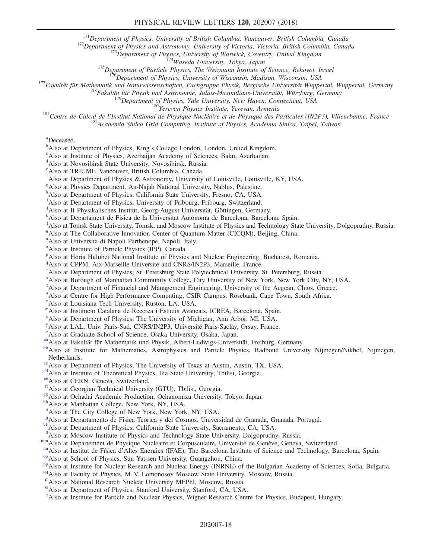$171$ Department of Physics, University of British Columbia, Vancouver, British Columbia, Canada

<sup>172</sup>Department of Physics and Astronomy, University of Victoria, Victoria, British Columbia, Canada

 $173$ Department of Physics, University of Warwick, Coventry, United Kingdom

<sup>174</sup>Waseda University, Tokyo, Japan

<sup>175</sup>Department of Particle Physics, The Weizmann Institute of Science, Rehovot, Israel

<sup>176</sup>Department of Physics, University of Wisconsin, Madison, Wisconsin, USA

<sup>177</sup>Fakultät für Mathematik und Naturwissenschaften, Fachgruppe Physik, Bergische Universität Wuppertal, Wuppertal, Germany

 $178$ Fakultät für Physik und Astronomie, Julius-Maximilians-Universität, Würzburg, Germany

 $179$ Department of Physics, Yale University, New Haven, Connecticut, USA

<sup>180</sup>Yerevan Physics Institute, Yerevan, Armenia

<sup>181</sup>Centre de Calcul de l'Institut National de Physique Nucléaire et de Physique des Particules (IN2P3), Villeurbanne, France

<sup>182</sup>Academia Sinica Grid Computing, Institute of Physics, Academia Sinica, Taipei, Taiwan

<sup>a</sup>Deceased.

- <sup>b</sup>Also at Department of Physics, King's College London, London, United Kingdom.
- <sup>c</sup>Also at Institute of Physics, Azerbaijan Academy of Sciences, Baku, Azerbaijan.
- <sup>d</sup>Also at Novosibirsk State University, Novosibirsk, Russia.
- <sup>e</sup>Also at TRIUMF, Vancouver, British Columbia, Canada.
- <sup>f</sup>Also at Department of Physics & Astronomy, University of Louisville, Louisville, KY, USA.
- <sup>g</sup>Also at Physics Department, An-Najah National University, Nablus, Palestine.
- h Also at Department of Physics, California State University, Fresno, CA, USA.
- <sup>i</sup>Also at Department of Physics, University of Fribourg, Fribourg, Switzerland.
- <sup>j</sup>Also at II Physikalisches Institut, Georg-August-Universität, Göttingen, Germany.
- k<br>Also at Departament de Fisica de la Universitat Autonoma de Barcelona, Barcelona, Spain.
- <sup>1</sup>Also at Tomsk State University, Tomsk, and Moscow Institute of Physics and Technology State University, Dolgoprudny, Russia.
- <sup>m</sup>Also at The Collaborative Innovation Center of Quantum Matter (CICQM), Beijing, China.
- <sup>n</sup>Also at Universita di Napoli Parthenope, Napoli, Italy.
- <sup>o</sup>Also at Institute of Particle Physics (IPP), Canada.
- <sup>P</sup>Also at Horia Hulubei National Institute of Physics and Nuclear Engineering, Bucharest, Romania.
- <sup>q</sup>Also at CPPM, Aix-Marseille Université and CNRS/IN2P3, Marseille, France.
- <sup>r</sup>Also at Department of Physics, St. Petersburg State Polytechnical University, St. Petersburg, Russia.
- <sup>s</sup>Also at Borough of Manhattan Community College, City University of New York, New York City, NY, USA.
- <sup>t</sup>Also at Department of Financial and Management Engineering, University of the Aegean, Chios, Greece.
- <sup>u</sup>Also at Centre for High Performance Computing, CSIR Campus, Rosebank, Cape Town, South Africa.
- <sup>v</sup>Also at Louisiana Tech University, Ruston, LA, USA.
- <sup>w</sup>Also at Institucio Catalana de Recerca i Estudis Avancats, ICREA, Barcelona, Spain.
- <sup>x</sup>Also at Department of Physics, The University of Michigan, Ann Arbor, MI, USA.
- <sup>y</sup>Also at LAL, Univ. Paris-Sud, CNRS/IN2P3, Université Paris-Saclay, Orsay, France.
- <sup>z</sup>Also at Graduate School of Science, Osaka University, Osaka, Japan.
- aa Also at Fakultät für Mathematik und Physik, Albert-Ludwigs-Universität, Freiburg, Germany.
- bb Also at Institute for Mathematics, Astrophysics and Particle Physics, Radboud University Nijmegen/Nikhef, Nijmegen, Netherlands.
- <sup>cc</sup>Also at Department of Physics, The University of Texas at Austin, Austin, TX, USA.
- dd Also at Institute of Theoretical Physics, Ilia State University, Tbilisi, Georgia.
- ee Also at CERN, Geneva, Switzerland.
- ffAlso at Georgian Technical University (GTU), Tbilisi, Georgia.
- <sup>gg</sup>Also at Ochadai Academic Production, Ochanomizu University, Tokyo, Japan.
- hh Also at Manhattan College, New York, NY, USA.
- iiAlso at The City College of New York, New York, NY, USA.
- <sup>jj</sup>Also at Departamento de Fisica Teorica y del Cosmos, Universidad de Granada, Granada, Portugal.
- kkAlso at Department of Physics, California State University, Sacramento, CA, USA.
- <sup>11</sup>Also at Moscow Institute of Physics and Technology State University, Dolgoprudny, Russia.
- mm Also at Departement de Physique Nucleaire et Corpusculaire, Université de Genève, Geneva, Switzerland.
- <sup>nn</sup>Also at Institut de Física d'Altes Energies (IFAE), The Barcelona Institute of Science and Technology, Barcelona, Spain.
- <sup>oo</sup>Also at School of Physics, Sun Yat-sen University, Guangzhou, China.
- ppAlso at Institute for Nuclear Research and Nuclear Energy (INRNE) of the Bulgarian Academy of Sciences, Sofia, Bulgaria.
- qq Also at Faculty of Physics, M. V. Lomonosov Moscow State University, Moscow, Russia.
- rrAlso at National Research Nuclear University MEPhI, Moscow, Russia.
- ss Also at Department of Physics, Stanford University, Stanford, CA, USA.
- <sup>tt</sup>Also at Institute for Particle and Nuclear Physics, Wigner Research Centre for Physics, Budapest, Hungary.